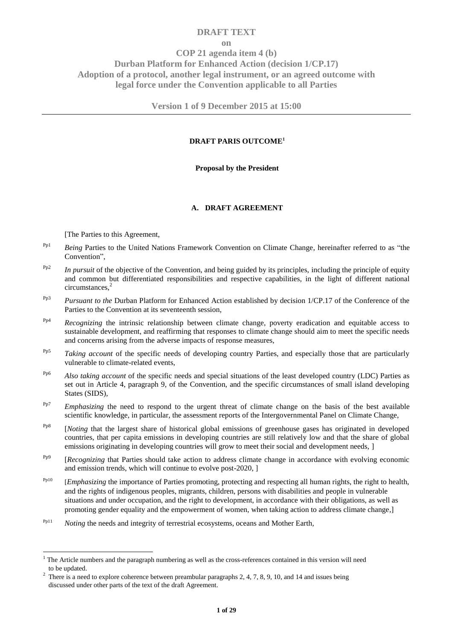# **DRAFT TEXT**

**on**

**COP 21 agenda item 4 (b) Durban Platform for Enhanced Action (decision 1/CP.17) Adoption of a protocol, another legal instrument, or an agreed outcome with legal force under the Convention applicable to all Parties**

**Version 1 of 9 December 2015 at 15:00**

# **DRAFT PARIS OUTCOME<sup>1</sup>**

## **Proposal by the President**

## **A. DRAFT AGREEMENT**

[The Parties to this Agreement,

-

- <sup>Pp1</sup> *Being Parties to the United Nations Framework Convention on Climate Change, hereinafter referred to as "the* Convention",
- Pp2 *In pursuit* of the objective of the Convention, and being guided by its principles, including the principle of equity and common but differentiated responsibilities and respective capabilities, in the light of different national circumstances,<sup>2</sup>
- Pp3 *Pursuant to the* Durban Platform for Enhanced Action established by decision 1/CP.17 of the Conference of the Parties to the Convention at its seventeenth session,
- Pp4 *Recognizing* the intrinsic relationship between climate change, poverty eradication and equitable access to sustainable development, and reaffirming that responses to climate change should aim to meet the specific needs and concerns arising from the adverse impacts of response measures,
- Pp5 *Taking account* of the specific needs of developing country Parties, and especially those that are particularly vulnerable to climate-related events,
- Pp6 *Also taking account* of the specific needs and special situations of the least developed country (LDC) Parties as set out in Article 4, paragraph 9, of the Convention, and the specific circumstances of small island developing States (SIDS),
- Pp7 *Emphasizing* the need to respond to the urgent threat of climate change on the basis of the best available scientific knowledge, in particular, the assessment reports of the Intergovernmental Panel on Climate Change,
- Pp8 [*Noting* that the largest share of historical global emissions of greenhouse gases has originated in developed countries, that per capita emissions in developing countries are still relatively low and that the share of global emissions originating in developing countries will grow to meet their social and development needs,  $\vert$
- Pp9 [*Recognizing* that Parties should take action to address climate change in accordance with evolving economic and emission trends, which will continue to evolve post-2020, ]
- <sup>Pp10</sup> [*Emphasizing* the importance of Parties promoting, protecting and respecting all human rights, the right to health, and the rights of indigenous peoples, migrants, children, persons with disabilities and people in vulnerable situations and under occupation, and the right to development, in accordance with their obligations, as well as promoting gender equality and the empowerment of women, when taking action to address climate change*,*]
- Pp11 *Noting* the needs and integrity of terrestrial ecosystems, oceans and Mother Earth*,*

 $1$  The Article numbers and the paragraph numbering as well as the cross-references contained in this version will need to be updated.

<sup>&</sup>lt;sup>2</sup> There is a need to explore coherence between preambular paragraphs 2, 4, 7, 8, 9, 10, and 14 and issues being discussed under other parts of the text of the draft Agreement.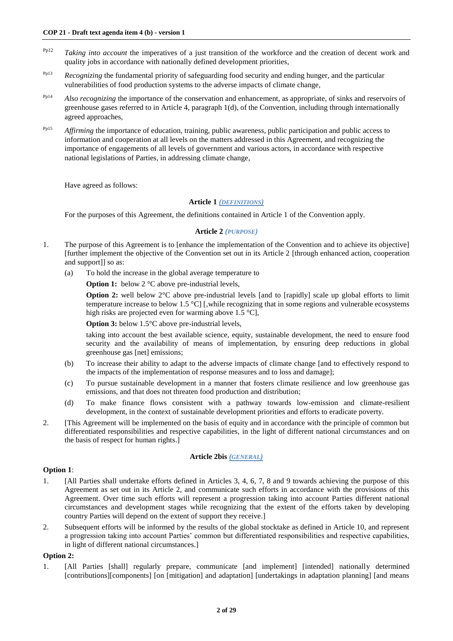- Pp12 *Taking into account* the imperatives of a just transition of the workforce and the creation of decent work and quality jobs in accordance with nationally defined development priorities,
- <sup>Pp13</sup> *Recognizing* the fundamental priority of safeguarding food security and ending hunger, and the particular vulnerabilities of food production systems to the adverse impacts of climate change,
- <sup>Pp14</sup> *Also recognizing* the importance of the conservation and enhancement, as appropriate, of sinks and reservoirs of greenhouse gases referred to in Article 4, paragraph 1(d), of the Convention, including through internationally agreed approaches,
- <sup>Pp15</sup> *Affirming* the importance of education, training, public awareness, public participation and public access to information and cooperation at all levels on the matters addressed in this Agreement, and recognizing the importance of engagements of all levels of government and various actors, in accordance with respective national legislations of Parties, in addressing climate change,

Have agreed as follows:

## **Article 1** *(DEFINITIONS)*

For the purposes of this Agreement, the definitions contained in Article 1 of the Convention apply.

## **Article 2** *(PURPOSE)*

- 1. The purpose of this Agreement is to [enhance the implementation of the Convention and to achieve its objective] [further implement the objective of the Convention set out in its Article 2 [through enhanced action, cooperation and support]] so as:
	- (a) To hold the increase in the global average temperature to

**Option 1:** below 2 °C above pre-industrial levels,

**Option 2:** well below 2°C above pre-industrial levels [and to [rapidly] scale up global efforts to limit temperature increase to below 1.5 °C] [,while recognizing that in some regions and vulnerable ecosystems high risks are projected even for warming above  $1.5 \text{ }^{\circ}\text{Cl}$ ,

**Option 3:** below 1.5°C above pre-industrial levels,

taking into account the best available science, equity, sustainable development, the need to ensure food security and the availability of means of implementation, by ensuring deep reductions in global greenhouse gas [net] emissions;

- (b) To increase their ability to adapt to the adverse impacts of climate change [and to effectively respond to the impacts of the implementation of response measures and to loss and damage];
- (c) To pursue sustainable development in a manner that fosters climate resilience and low greenhouse gas emissions, and that does not threaten food production and distribution;
- (d) To make finance flows consistent with a pathway towards low-emission and climate-resilient development, in the context of sustainable development priorities and efforts to eradicate poverty.
- 2. [This Agreement will be implemented on the basis of equity and in accordance with the principle of common but differentiated responsibilities and respective capabilities, in the light of different national circumstances and on the basis of respect for human rights.]

#### **Article 2bis** *(GENERAL)*

# **Option 1**:

- 1. [All Parties shall undertake efforts defined in Articles 3, 4, 6, 7, 8 and 9 towards achieving the purpose of this Agreement as set out in its Article 2, and communicate such efforts in accordance with the provisions of this Agreement. Over time such efforts will represent a progression taking into account Parties different national circumstances and development stages while recognizing that the extent of the efforts taken by developing country Parties will depend on the extent of support they receive.]
- 2. Subsequent efforts will be informed by the results of the global stocktake as defined in Article 10, and represent a progression taking into account Parties' common but differentiated responsibilities and respective capabilities, in light of different national circumstances.]

#### **Option 2:**

1. [All Parties [shall] regularly prepare, communicate [and implement] [intended] nationally determined [contributions][components] [on [mitigation] and adaptation] [undertakings in adaptation planning] [and means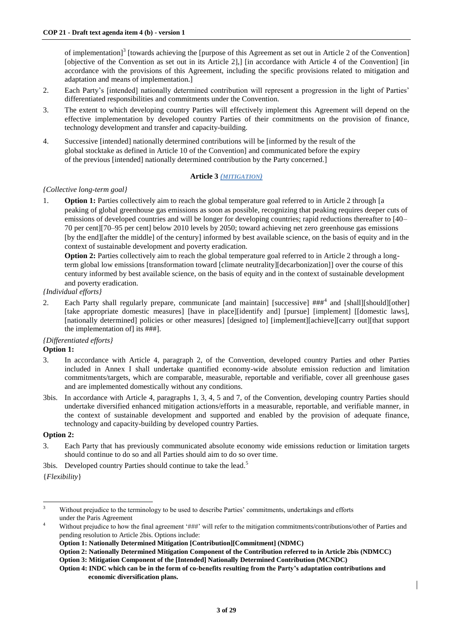of implementation]<sup>3</sup> [towards achieving the [purpose of this Agreement as set out in Article 2 of the Convention] [objective of the Convention as set out in its Article 2], [in accordance with Article 4 of the Convention] [in accordance with the provisions of this Agreement, including the specific provisions related to mitigation and adaptation and means of implementation.]

- 2. Each Party's [intended] nationally determined contribution will represent a progression in the light of Parties' differentiated responsibilities and commitments under the Convention.
- 3. The extent to which developing country Parties will effectively implement this Agreement will depend on the effective implementation by developed country Parties of their commitments on the provision of finance, technology development and transfer and capacity-building.
- 4. Successive [intended] nationally determined contributions will be [informed by the result of the global stocktake as defined in Article 10 of the Convention] and communicated before the expiry of the previous [intended] nationally determined contribution by the Party concerned.]

## **Article 3** *(MITIGATION)*

## *{Collective long-term goal}*

1. **Option 1:** Parties collectively aim to reach the global temperature goal referred to in Article 2 through [a peaking of global greenhouse gas emissions as soon as possible, recognizing that peaking requires deeper cuts of emissions of developed countries and will be longer for developing countries; rapid reductions thereafter to [40– 70 per cent][70–95 per cent] below 2010 levels by 2050; toward achieving net zero greenhouse gas emissions [by the end][after the middle] of the century] informed by best available science, on the basis of equity and in the context of sustainable development and poverty eradication.

**Option 2:** Parties collectively aim to reach the global temperature goal referred to in Article 2 through a longterm global low emissions [transformation toward [climate neutrality][decarbonization]] over the course of this century informed by best available science, on the basis of equity and in the context of sustainable development and poverty eradication.

## *{Individual efforts}*

2. Each Party shall regularly prepare, communicate [and maintain] [successive] ###<sup>4</sup> and [shall][should][other] [take appropriate domestic measures] [have in place][identify and] [pursue] [implement] [[domestic laws], [nationally determined] policies or other measures] [designed to] [implement][achieve][carry out][that support the implementation of] its ###].

# *{Differentiated efforts}*

# **Option 1:**

- 3. In accordance with Article 4, paragraph 2, of the Convention, developed country Parties and other Parties included in Annex I shall undertake quantified economy-wide absolute emission reduction and limitation commitments/targets, which are comparable, measurable, reportable and verifiable, cover all greenhouse gases and are implemented domestically without any conditions.
- 3bis. In accordance with Article 4, paragraphs 1, 3, 4, 5 and 7, of the Convention, developing country Parties should undertake diversified enhanced mitigation actions/efforts in a measurable, reportable, and verifiable manner, in the context of sustainable development and supported and enabled by the provision of adequate finance, technology and capacity-building by developed country Parties.

#### **Option 2:**

- 3. Each Party that has previously communicated absolute economy wide emissions reduction or limitation targets should continue to do so and all Parties should aim to do so over time.
- 3bis. Developed country Parties should continue to take the lead.<sup>5</sup>

{*Flexibility*}

 $\overline{3}$ <sup>3</sup> Without prejudice to the terminology to be used to describe Parties' commitments, undertakings and efforts under the Paris Agreement

Without prejudice to how the final agreement '###' will refer to the mitigation commitments/contributions/other of Parties and pending resolution to Article 2bis. Options include:

**Option 1: Nationally Determined Mitigation [Contribution][Commitment] (NDMC)**

**Option 2: Nationally Determined Mitigation Component of the Contribution referred to in Article 2bis (NDMCC) Option 3: Mitigation Component of the [Intended] Nationally Determined Contribution (MCNDC)**

**Option 4: INDC which can be in the form of co-benefits resulting from the Party's adaptation contributions and economic diversification plans.**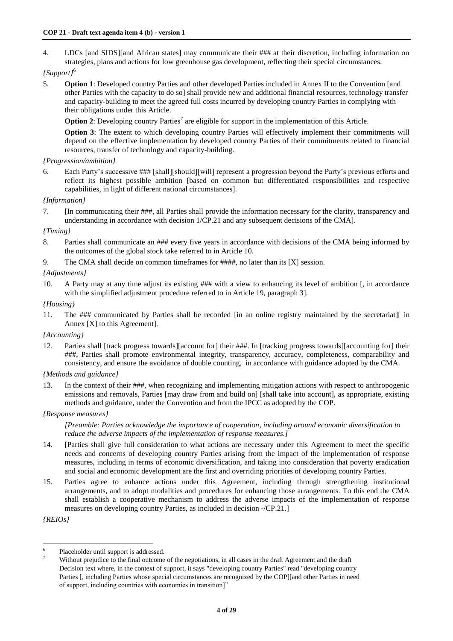4. LDCs [and SIDS][and African states] may communicate their ### at their discretion, including information on strategies, plans and actions for low greenhouse gas development, reflecting their special circumstances.

# *{Support}*<sup>6</sup>

5. **Option 1**: Developed country Parties and other developed Parties included in Annex II to the Convention [and other Parties with the capacity to do so] shall provide new and additional financial resources, technology transfer and capacity-building to meet the agreed full costs incurred by developing country Parties in complying with their obligations under this Article.

**Option 2:** Developing country Parties<sup>7</sup> are eligible for support in the implementation of this Article.

**Option 3**: The extent to which developing country Parties will effectively implement their commitments will depend on the effective implementation by developed country Parties of their commitments related to financial resources, transfer of technology and capacity-building.

# *{Progression/ambition}*

6. Each Party's successive ### [shall][should][will] represent a progression beyond the Party's previous efforts and reflect its highest possible ambition [based on common but differentiated responsibilities and respective capabilities, in light of different national circumstances].

## *{Information}*

7. [In communicating their ###, all Parties shall provide the information necessary for the clarity, transparency and understanding in accordance with decision 1/CP.21 and any subsequent decisions of the CMA].

# *{Timing}*

- 8. Parties shall communicate an ### every five years in accordance with decisions of the CMA being informed by the outcomes of the global stock take referred to in Article 10.
- 9. The CMA shall decide on common timeframes for ####, no later than its [X] session.

# *{Adjustments}*

10. A Party may at any time adjust its existing ### with a view to enhancing its level of ambition [, in accordance with the simplified adjustment procedure referred to in Article 19, paragraph 3].

## *{Housing}*

11. The ### communicated by Parties shall be recorded [in an online registry maintained by the secretariat][ in Annex [X] to this Agreement].

#### *{Accounting}*

12. Parties shall [track progress towards][account for] their ###. In [tracking progress towards][accounting for] their ###, Parties shall promote environmental integrity, transparency, accuracy, completeness, comparability and consistency, and ensure the avoidance of double counting, in accordance with guidance adopted by the CMA.

#### *{Methods and guidance}*

13*.* In the context of their ###, when recognizing and implementing mitigation actions with respect to anthropogenic emissions and removals, Parties [may draw from and build on] [shall take into account], as appropriate, existing methods and guidance, under the Convention and from the IPCC as adopted by the COP.

#### *{Response measures}*

*[Preamble: Parties acknowledge the importance of cooperation, including around economic diversification to reduce the adverse impacts of the implementation of response measures.]* 

- 14. [Parties shall give full consideration to what actions are necessary under this Agreement to meet the specific needs and concerns of developing country Parties arising from the impact of the implementation of response measures, including in terms of economic diversification, and taking into consideration that poverty eradication and social and economic development are the first and overriding priorities of developing country Parties.
- 15. Parties agree to enhance actions under this Agreement, including through strengthening institutional arrangements, and to adopt modalities and procedures for enhancing those arrangements. To this end the CMA shall establish a cooperative mechanism to address the adverse impacts of the implementation of response measures on developing country Parties, as included in decision -/CP.21.]

*{REIOs}*

 $\frac{1}{6}$ Placeholder until support is addressed.

Without prejudice to the final outcome of the negotiations, in all cases in the draft Agreement and the draft Decision text where, in the context of support, it says "developing country Parties" read "developing country Parties [, including Parties whose special circumstances are recognized by the COP][and other Parties in need of support, including countries with economies in transition]"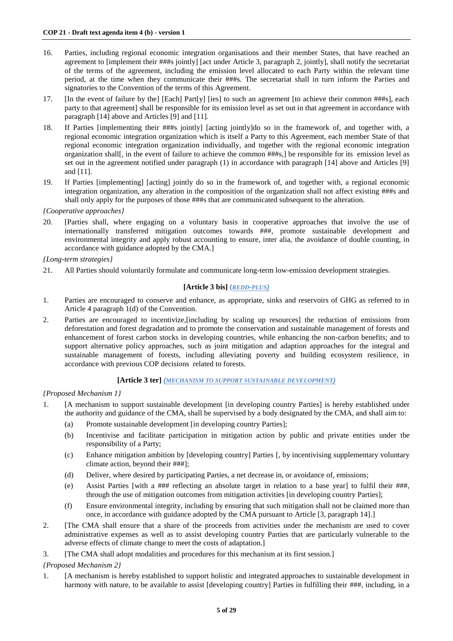- 16. Parties, including regional economic integration organisations and their member States, that have reached an agreement to [implement their ###s jointly] [act under Article 3, paragraph 2, jointly], shall notify the secretariat of the terms of the agreement, including the emission level allocated to each Party within the relevant time period, at the time when they communicate their ###s. The secretariat shall in turn inform the Parties and signatories to the Convention of the terms of this Agreement.
- 17. [In the event of failure by the] [Each] Part[y] [ies] to such an agreement [to achieve their common ###s], each party to that agreement] shall be responsible for its emission level as set out in that agreement in accordance with paragraph [14] above and Articles [9] and [11].
- 18. If Parties [implementing their ###s jointly] [acting jointly]do so in the framework of, and together with, a regional economic integration organization which is itself a Party to this Agreement, each member State of that regional economic integration organization individually, and together with the regional economic integration organization shall[, in the event of failure to achieve the common ###s,] be responsible for its emission level as set out in the agreement notified under paragraph (1) in accordance with paragraph [14] above and Articles [9] and [11].
- 19. If Parties [implementing] [acting] jointly do so in the framework of, and together with, a regional economic integration organization, any alteration in the composition of the organization shall not affect existing ###s and shall only apply for the purposes of those ###s that are communicated subsequent to the alteration.

*{Cooperative approaches}* 

20. [Parties shall, where engaging on a voluntary basis in cooperative approaches that involve the use of internationally transferred mitigation outcomes towards ###, promote sustainable development and environmental integrity and apply robust accounting to ensure, inter alia, the avoidance of double counting, in accordance with guidance adopted by the CMA.]

*{Long-term strategies}*

21. All Parties should voluntarily formulate and communicate long-term low-emission development strategies.

# **[Article 3 bis] (***REDD-PLUS)*

- 1. Parties are encouraged to conserve and enhance, as appropriate, sinks and reservoirs of GHG as referred to in Article 4 paragraph 1(d) of the Convention.
- 2. Parties are encouraged to incentivize,[including by scaling up resources] the reduction of emissions from deforestation and forest degradation and to promote the conservation and sustainable management of forests and enhancement of forest carbon stocks in developing countries, while enhancing the non-carbon benefits; and to support alternative policy approaches, such as joint mitigation and adaption approaches for the integral and sustainable management of forests, including alleviating poverty and building ecosystem resilience, in accordance with previous COP decisions related to forests.

# **[Article 3 ter]** *(MECHANISM TO SUPPORT SUSTAINABLE DEVELOPMENT)*

*{Proposed Mechanism 1}*

- 1. [A mechanism to support sustainable development [in developing country Parties] is hereby established under the authority and guidance of the CMA, shall be supervised by a body designated by the CMA, and shall aim to:
	- (a) Promote sustainable development [in developing country Parties];
	- (b) Incentivise and facilitate participation in mitigation action by public and private entities under the responsibility of a Party;
	- (c) Enhance mitigation ambition by [developing country] Parties [, by incentivising supplementary voluntary climate action, beyond their ###];
	- (d) Deliver, where desired by participating Parties, a net decrease in, or avoidance of, emissions;
	- (e) Assist Parties [with a ### reflecting an absolute target in relation to a base year] to fulfil their ###, through the use of mitigation outcomes from mitigation activities [in developing country Parties];
	- (f) Ensure environmental integrity, including by ensuring that such mitigation shall not be claimed more than once, in accordance with guidance adopted by the CMA pursuant to Article [3, paragraph 14].]
- 2. [The CMA shall ensure that a share of the proceeds from activities under the mechanism are used to cover administrative expenses as well as to assist developing country Parties that are particularly vulnerable to the adverse effects of climate change to meet the costs of adaptation.]
- 3. [The CMA shall adopt modalities and procedures for this mechanism at its first session.]

*{Proposed Mechanism 2}*

1. [A mechanism is hereby established to support holistic and integrated approaches to sustainable development in harmony with nature, to be available to assist [developing country] Parties in fulfilling their ###, including, in a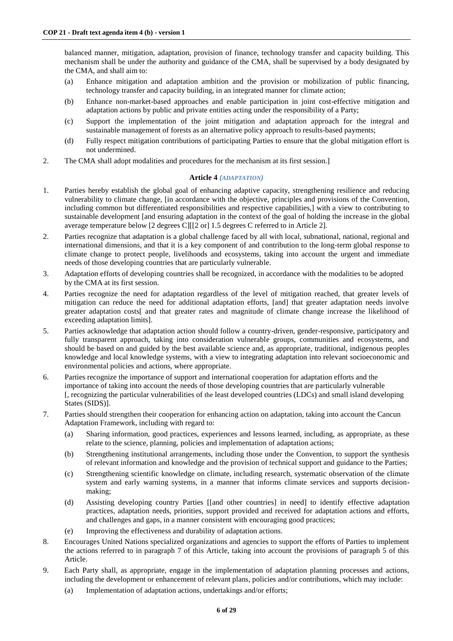balanced manner, mitigation, adaptation, provision of finance, technology transfer and capacity building. This mechanism shall be under the authority and guidance of the CMA, shall be supervised by a body designated by the CMA, and shall aim to:

- (a) Enhance mitigation and adaptation ambition and the provision or mobilization of public financing, technology transfer and capacity building, in an integrated manner for climate action;
- (b) Enhance non-market-based approaches and enable participation in joint cost-effective mitigation and adaptation actions by public and private entities acting under the responsibility of a Party;
- (c) Support the implementation of the joint mitigation and adaptation approach for the integral and sustainable management of forests as an alternative policy approach to results-based payments;
- (d) Fully respect mitigation contributions of participating Parties to ensure that the global mitigation effort is not undermined.
- 2. The CMA shall adopt modalities and procedures for the mechanism at its first session.]

# **Article 4** *(ADAPTATION)*

- 1. Parties hereby establish the global goal of enhancing adaptive capacity, strengthening resilience and reducing vulnerability to climate change, [in accordance with the objective, principles and provisions of the Convention, including common but differentiated responsibilities and respective capabilities,] with a view to contributing to sustainable development [and ensuring adaptation in the context of the goal of holding the increase in the global average temperature below [2 degrees C][[2 or] 1.5 degrees C referred to in Article 2].
- 2. Parties recognize that adaptation is a global challenge faced by all with local, subnational, national, regional and international dimensions, and that it is a key component of and contribution to the long-term global response to climate change to protect people, livelihoods and ecosystems, taking into account the urgent and immediate needs of those developing countries that are particularly vulnerable.
- 3. Adaptation efforts of developing countries shall be recognized, in accordance with the modalities to be adopted by the CMA at its first session.
- 4. Parties recognize the need for adaptation regardless of the level of mitigation reached, that greater levels of mitigation can reduce the need for additional adaptation efforts, [and] that greater adaptation needs involve greater adaptation costs[ and that greater rates and magnitude of climate change increase the likelihood of exceeding adaptation limits].
- 5. Parties acknowledge that adaptation action should follow a country-driven, gender-responsive, participatory and fully transparent approach, taking into consideration vulnerable groups, communities and ecosystems, and should be based on and guided by the best available science and, as appropriate, traditional, indigenous peoples knowledge and local knowledge systems, with a view to integrating adaptation into relevant socioeconomic and environmental policies and actions, where appropriate.
- 6. Parties recognize the importance of support and international cooperation for adaptation efforts and the importance of taking into account the needs of those developing countries that are particularly vulnerable [, recognizing the particular vulnerabilities of the least developed countries (LDCs) and small island developing States (SIDS)].
- 7. Parties should strengthen their cooperation for enhancing action on adaptation, taking into account the Cancun Adaptation Framework, including with regard to:
	- (a) Sharing information, good practices, experiences and lessons learned, including, as appropriate, as these relate to the science, planning, policies and implementation of adaptation actions;
	- (b) Strengthening institutional arrangements, including those under the Convention, to support the synthesis of relevant information and knowledge and the provision of technical support and guidance to the Parties;
	- (c) Strengthening scientific knowledge on climate, including research, systematic observation of the climate system and early warning systems, in a manner that informs climate services and supports decisionmaking;
	- (d) Assisting developing country Parties [[and other countries] in need] to identify effective adaptation practices, adaptation needs, priorities, support provided and received for adaptation actions and efforts, and challenges and gaps, in a manner consistent with encouraging good practices;
	- (e) Improving the effectiveness and durability of adaptation actions.
- 8. Encourages United Nations specialized organizations and agencies to support the efforts of Parties to implement the actions referred to in paragraph 7 of this Article, taking into account the provisions of paragraph  $\overline{5}$  of this Article.
- 9. Each Party shall, as appropriate, engage in the implementation of adaptation planning processes and actions, including the development or enhancement of relevant plans, policies and/or contributions, which may include:
	- (a) Implementation of adaptation actions, undertakings and/or efforts;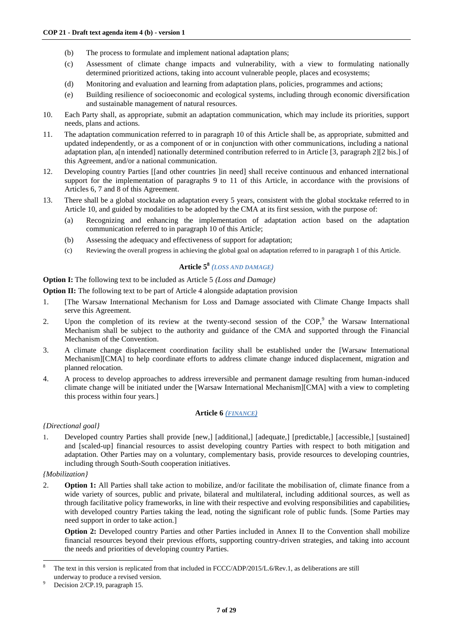- (b) The process to formulate and implement national adaptation plans;
- (c) Assessment of climate change impacts and vulnerability, with a view to formulating nationally determined prioritized actions, taking into account vulnerable people, places and ecosystems;
- (d) Monitoring and evaluation and learning from adaptation plans, policies, programmes and actions;
- (e) Building resilience of socioeconomic and ecological systems, including through economic diversification and sustainable management of natural resources.
- 10. Each Party shall, as appropriate, submit an adaptation communication, which may include its priorities, support needs, plans and actions.
- 11. The adaptation communication referred to in paragraph 10 of this Article shall be, as appropriate, submitted and updated independently, or as a component of or in conjunction with other communications, including a national adaptation plan, a[n intended] nationally determined contribution referred to in Article [3, paragraph 2][2 bis.] of this Agreement, and/or a national communication.
- 12. Developing country Parties [[and other countries ]in need] shall receive continuous and enhanced international support for the implementation of paragraphs 9 to 11 of this Article, in accordance with the provisions of Articles 6, 7 and 8 of this Agreement.
- 13. There shall be a global stocktake on adaptation every 5 years, consistent with the global stocktake referred to in Article 10, and guided by modalities to be adopted by the CMA at its first session, with the purpose of:
	- (a) Recognizing and enhancing the implementation of adaptation action based on the adaptation communication referred to in paragraph 10 of this Article;
	- (b) Assessing the adequacy and effectiveness of support for adaptation;
	- (c) Reviewing the overall progress in achieving the global goal on adaptation referred to in paragraph 1 of this Article.

# **Article 5<sup>8</sup>** *(LOSS AND DAMAGE)*

**Option I:** The following text to be included as Article 5 *(Loss and Damage)*

**Option II:** The following text to be part of Article 4 alongside adaptation provision

- 1. [The Warsaw International Mechanism for Loss and Damage associated with Climate Change Impacts shall serve this Agreement.
- 2. Upon the completion of its review at the twenty-second session of the  $COP<sub>1</sub><sup>9</sup>$  the Warsaw International Mechanism shall be subject to the authority and guidance of the CMA and supported through the Financial Mechanism of the Convention.
- 3. A climate change displacement coordination facility shall be established under the [Warsaw International Mechanism][CMA] to help coordinate efforts to address climate change induced displacement, migration and planned relocation.
- 4. A process to develop approaches to address irreversible and permanent damage resulting from human-induced climate change will be initiated under the [Warsaw International Mechanism][CMA] with a view to completing this process within four years.]

# **Article 6** *(FINANCE)*

# *{Directional goal}*

1. Developed country Parties shall provide [new,] [additional,] [adequate,] [predictable,] [accessible,] [sustained] and [scaled-up] financial resources to assist developing country Parties with respect to both mitigation and adaptation. Other Parties may on a voluntary, complementary basis, provide resources to developing countries, including through South-South cooperation initiatives.

# *{Mobilization}*

 $\overline{a}$ 

2. **Option 1:** All Parties shall take action to mobilize, and/or facilitate the mobilisation of, climate finance from a wide variety of sources, public and private, bilateral and multilateral, including additional sources, as well as through facilitative policy frameworks, in line with their respective and evolving responsibilities and capabilities, with developed country Parties taking the lead, noting the significant role of public funds. [Some Parties may need support in order to take action.]

**Option 2:** Developed country Parties and other Parties included in Annex II to the Convention shall mobilize financial resources beyond their previous efforts, supporting country-driven strategies, and taking into account the needs and priorities of developing country Parties.

<sup>8</sup> The text in this version is replicated from that included in FCCC/ADP/2015/L.6/Rev.1, as deliberations are still underway to produce a revised version.

Decision 2/CP.19, paragraph 15.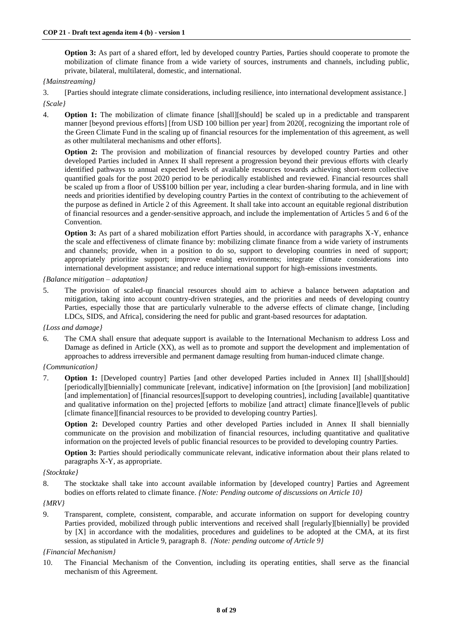**Option 3:** As part of a shared effort, led by developed country Parties, Parties should cooperate to promote the mobilization of climate finance from a wide variety of sources, instruments and channels, including public, private, bilateral, multilateral, domestic, and international.

## *{Mainstreaming}*

3. [Parties should integrate climate considerations, including resilience, into international development assistance.] *{Scale}*

4. **Option 1:** The mobilization of climate finance [shall][should] be scaled up in a predictable and transparent manner [beyond previous efforts] [from USD 100 billion per year] from 2020[, recognizing the important role of the Green Climate Fund in the scaling up of financial resources for the implementation of this agreement, as well as other multilateral mechanisms and other efforts].

**Option 2:** The provision and mobilization of financial resources by developed country Parties and other developed Parties included in Annex II shall represent a progression beyond their previous efforts with clearly identified pathways to annual expected levels of available resources towards achieving short-term collective quantified goals for the post 2020 period to be periodically established and reviewed. Financial resources shall be scaled up from a floor of US\$100 billion per year, including a clear burden-sharing formula, and in line with needs and priorities identified by developing country Parties in the context of contributing to the achievement of the purpose as defined in Article 2 of this Agreement. It shall take into account an equitable regional distribution of financial resources and a gender-sensitive approach, and include the implementation of Articles 5 and 6 of the Convention.

**Option 3:** As part of a shared mobilization effort Parties should, in accordance with paragraphs X-Y, enhance the scale and effectiveness of climate finance by: mobilizing climate finance from a wide variety of instruments and channels; provide, when in a position to do so, support to developing countries in need of support; appropriately prioritize support; improve enabling environments; integrate climate considerations into international development assistance; and reduce international support for high-emissions investments.

*{Balance mitigation – adaptation}*

5. The provision of scaled-up financial resources should aim to achieve a balance between adaptation and mitigation, taking into account country-driven strategies, and the priorities and needs of developing country Parties, especially those that are particularly vulnerable to the adverse effects of climate change, [including LDCs, SIDS, and Africa], considering the need for public and grant-based resources for adaptation.

#### *{Loss and damage}*

6. The CMA shall ensure that adequate support is available to the International Mechanism to address Loss and Damage as defined in Article  $(\overrightarrow{XX})$ , as well as to promote and support the development and implementation of approaches to address irreversible and permanent damage resulting from human-induced climate change.

#### *{Communication}*

7. **Option 1:** [Developed country] Parties [and other developed Parties included in Annex II] [shall][should] [periodically][biennially] communicate [relevant, indicative] information on [the [provision] [and mobilization] [and implementation] of [financial resources][support to developing countries], including [available] quantitative and qualitative information on the] projected [efforts to mobilize [and attract] climate finance][levels of public [climate finance][financial resources to be provided to developing country Parties].

**Option 2:** Developed country Parties and other developed Parties included in Annex II shall biennially communicate on the provision and mobilization of financial resources, including quantitative and qualitative information on the projected levels of public financial resources to be provided to developing country Parties.

**Option 3:** Parties should periodically communicate relevant, indicative information about their plans related to paragraphs X-Y, as appropriate.

#### *{Stocktake}*

8. The stocktake shall take into account available information by [developed country] Parties and Agreement bodies on efforts related to climate finance. *{Note: Pending outcome of discussions on Article 10}*

#### *{MRV}*

9. Transparent, complete, consistent, comparable, and accurate information on support for developing country Parties provided, mobilized through public interventions and received shall [regularly][biennially] be provided by [X] in accordance with the modalities, procedures and guidelines to be adopted at the CMA, at its first session, as stipulated in Article 9, paragraph 8. *{Note: pending outcome of Article 9}*

#### *{Financial Mechanism}*

10. The Financial Mechanism of the Convention, including its operating entities, shall serve as the financial mechanism of this Agreement.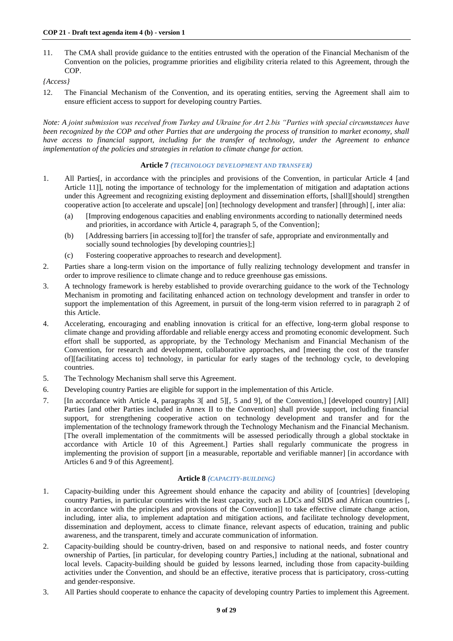11. The CMA shall provide guidance to the entities entrusted with the operation of the Financial Mechanism of the Convention on the policies, programme priorities and eligibility criteria related to this Agreement, through the COP.

*{Access}*

12. The Financial Mechanism of the Convention, and its operating entities, serving the Agreement shall aim to ensure efficient access to support for developing country Parties.

*Note: A joint submission was received from Turkey and Ukraine for Art 2.bis "Parties with special circumstances have been recognized by the COP and other Parties that are undergoing the process of transition to market economy, shall have access to financial support, including for the transfer of technology, under the Agreement to enhance implementation of the policies and strategies in relation to climate change for action.* 

## **Article 7** *(TECHNOLOGY DEVELOPMENT AND TRANSFER)*

- 1. All Parties[, in accordance with the principles and provisions of the Convention, in particular Article 4 [and Article 11], noting the importance of technology for the implementation of mitigation and adaptation actions under this Agreement and recognizing existing deployment and dissemination efforts, [shall][should] strengthen cooperative action [to accelerate and upscale] [on] [technology development and transfer] [through] [, inter alia:
	- (a) [Improving endogenous capacities and enabling environments according to nationally determined needs and priorities, in accordance with Article 4, paragraph 5, of the Convention];
	- (b) [Addressing barriers [in accessing to][for] the transfer of safe, appropriate and environmentally and socially sound technologies [by developing countries];]
	- (c) Fostering cooperative approaches to research and development].
- 2. Parties share a long-term vision on the importance of fully realizing technology development and transfer in order to improve resilience to climate change and to reduce greenhouse gas emissions.
- 3. A technology framework is hereby established to provide overarching guidance to the work of the Technology Mechanism in promoting and facilitating enhanced action on technology development and transfer in order to support the implementation of this Agreement, in pursuit of the long-term vision referred to in paragraph 2 of this Article.
- 4. Accelerating, encouraging and enabling innovation is critical for an effective, long-term global response to climate change and providing affordable and reliable energy access and promoting economic development. Such effort shall be supported, as appropriate, by the Technology Mechanism and Financial Mechanism of the Convention, for research and development, collaborative approaches, and [meeting the cost of the transfer of][facilitating access to] technology, in particular for early stages of the technology cycle, to developing countries.
- 5. The Technology Mechanism shall serve this Agreement.
- 6. Developing country Parties are eligible for support in the implementation of this Article.
- 7. [In accordance with Article 4, paragraphs 3[ and 5][, 5 and 9], of the Convention,] [developed country] [All] Parties [and other Parties included in Annex II to the Convention] shall provide support, including financial support, for strengthening cooperative action on technology development and transfer and for the implementation of the technology framework through the Technology Mechanism and the Financial Mechanism. [The overall implementation of the commitments will be assessed periodically through a global stocktake in accordance with Article 10 of this Agreement.] Parties shall regularly communicate the progress in implementing the provision of support [in a measurable, reportable and verifiable manner] [in accordance with Articles 6 and 9 of this Agreement].

# **Article 8** *(CAPACITY-BUILDING)*

- 1. Capacity-building under this Agreement should enhance the capacity and ability of [countries] [developing country Parties, in particular countries with the least capacity, such as LDCs and SIDS and African countries [, in accordance with the principles and provisions of the Convention]] to take effective climate change action, including, inter alia, to implement adaptation and mitigation actions, and facilitate technology development, dissemination and deployment, access to climate finance, relevant aspects of education, training and public awareness, and the transparent, timely and accurate communication of information.
- 2. Capacity-building should be country-driven, based on and responsive to national needs, and foster country ownership of Parties, [in particular, for developing country Parties,] including at the national, subnational and local levels. Capacity-building should be guided by lessons learned, including those from capacity-building activities under the Convention, and should be an effective, iterative process that is participatory, cross-cutting and gender-responsive.
- 3. All Parties should cooperate to enhance the capacity of developing country Parties to implement this Agreement.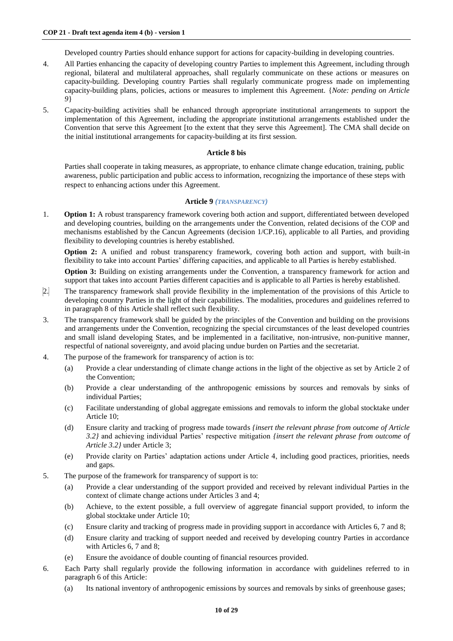Developed country Parties should enhance support for actions for capacity-building in developing countries.

- 4. All Parties enhancing the capacity of developing country Parties to implement this Agreement, including through regional, bilateral and multilateral approaches, shall regularly communicate on these actions or measures on capacity-building. Developing country Parties shall regularly communicate progress made on implementing capacity-building plans, policies, actions or measures to implement this Agreement. {*Note: pending on Article 9*}
- 5. Capacity-building activities shall be enhanced through appropriate institutional arrangements to support the implementation of this Agreement, including the appropriate institutional arrangements established under the Convention that serve this Agreement [to the extent that they serve this Agreement]. The CMA shall decide on the initial institutional arrangements for capacity-building at its first session.

## **Article 8 bis**

Parties shall cooperate in taking measures, as appropriate, to enhance climate change education, training, public awareness, public participation and public access to information, recognizing the importance of these steps with respect to enhancing actions under this Agreement.

## **Article 9** *(TRANSPARENCY)*

1. **Option 1:** A robust transparency framework covering both action and support, differentiated between developed and developing countries, building on the arrangements under the Convention, related decisions of the COP and mechanisms established by the Cancun Agreements (decision 1/CP.16), applicable to all Parties, and providing flexibility to developing countries is hereby established.

**Option 2:** A unified and robust transparency framework, covering both action and support, with built-in flexibility to take into account Parties' differing capacities, and applicable to all Parties is hereby established.

**Option 3:** Building on existing arrangements under the Convention, a transparency framework for action and support that takes into account Parties different capacities and is applicable to all Parties is hereby established.

- 2. The transparency framework shall provide flexibility in the implementation of the provisions of this Article to developing country Parties in the light of their capabilities. The modalities, procedures and guidelines referred to in paragraph 8 of this Article shall reflect such flexibility.
- 3. The transparency framework shall be guided by the principles of the Convention and building on the provisions and arrangements under the Convention, recognizing the special circumstances of the least developed countries and small island developing States, and be implemented in a facilitative, non-intrusive, non-punitive manner, respectful of national sovereignty, and avoid placing undue burden on Parties and the secretariat.
- 4. The purpose of the framework for transparency of action is to:
	- (a) Provide a clear understanding of climate change actions in the light of the objective as set by Article 2 of the Convention;
	- (b) Provide a clear understanding of the anthropogenic emissions by sources and removals by sinks of individual Parties;
	- (c) Facilitate understanding of global aggregate emissions and removals to inform the global stocktake under Article 10;
	- (d) Ensure clarity and tracking of progress made towards *{insert the relevant phrase from outcome of Article 3.2}* and achieving individual Parties' respective mitigation *{insert the relevant phrase from outcome of Article 3.2}* under Article 3;
	- (e) Provide clarity on Parties' adaptation actions under Article 4, including good practices, priorities, needs and gaps.
- 5. The purpose of the framework for transparency of support is to:
	- (a) Provide a clear understanding of the support provided and received by relevant individual Parties in the context of climate change actions under Articles 3 and 4;
	- (b) Achieve, to the extent possible, a full overview of aggregate financial support provided, to inform the global stocktake under Article 10;
	- (c) Ensure clarity and tracking of progress made in providing support in accordance with Articles 6, 7 and 8;
	- (d) Ensure clarity and tracking of support needed and received by developing country Parties in accordance with Articles 6, 7 and 8:
	- (e) Ensure the avoidance of double counting of financial resources provided.
- 6. Each Party shall regularly provide the following information in accordance with guidelines referred to in paragraph 6 of this Article:
	- (a) Its national inventory of anthropogenic emissions by sources and removals by sinks of greenhouse gases;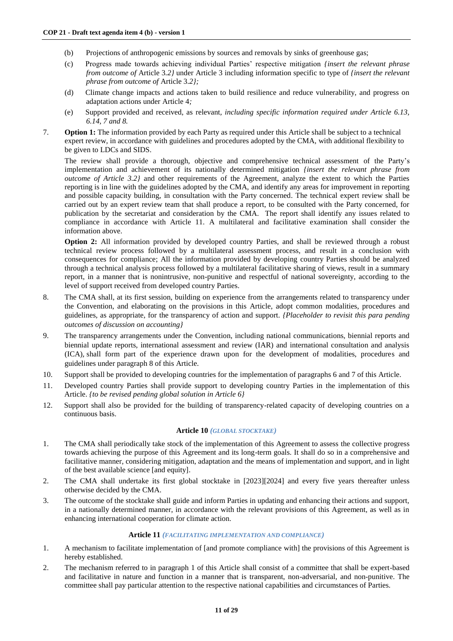- (b) Projections of anthropogenic emissions by sources and removals by sinks of greenhouse gas;
- (c) Progress made towards achieving individual Parties' respective mitigation *{insert the relevant phrase from outcome of* Article 3*.2}* under Article 3 including information specific to type of *{insert the relevant phrase from outcome of* Article 3*.2};*
- (d) Climate change impacts and actions taken to build resilience and reduce vulnerability, and progress on adaptation actions under Article 4*;*
- (e) Support provided and received, as relevant*, including specific information required under Article 6.13, 6.14, 7 and 8.*
- 7. **Option 1:** The information provided by each Party as required under this Article shall be subject to a technical expert review, in accordance with guidelines and procedures adopted by the CMA, with additional flexibility to be given to LDCs and SIDS.

The review shall provide a thorough, objective and comprehensive technical assessment of the Party's implementation and achievement of its nationally determined mitigation *{insert the relevant phrase from outcome of Article 3.2}* and other requirements of the Agreement, analyze the extent to which the Parties reporting is in line with the guidelines adopted by the CMA, and identify any areas for improvement in reporting and possible capacity building, in consultation with the Party concerned. The technical expert review shall be carried out by an expert review team that shall produce a report, to be consulted with the Party concerned, for publication by the secretariat and consideration by the CMA. The report shall identify any issues related to compliance in accordance with Article 11. A multilateral and facilitative examination shall consider the information above.

**Option 2:** All information provided by developed country Parties, and shall be reviewed through a robust technical review process followed by a multilateral assessment process, and result in a conclusion with consequences for compliance; All the information provided by developing country Parties should be analyzed through a technical analysis process followed by a multilateral facilitative sharing of views, result in a summary report, in a manner that is nonintrusive, non-punitive and respectful of national sovereignty, according to the level of support received from developed country Parties.

- 8. The CMA shall, at its first session, building on experience from the arrangements related to transparency under the Convention, and elaborating on the provisions in this Article, adopt common modalities, procedures and guidelines, as appropriate, for the transparency of action and support. *{Placeholder to revisit this para pending outcomes of discussion on accounting}*
- 9. The transparency arrangements under the Convention, including national communications, biennial reports and biennial update reports, international assessment and review (IAR) and international consultation and analysis (ICA), shall form part of the experience drawn upon for the development of modalities, procedures and guidelines under paragraph 8 of this Article.
- 10. Support shall be provided to developing countries for the implementation of paragraphs 6 and 7 of this Article.
- 11. Developed country Parties shall provide support to developing country Parties in the implementation of this Article. *{to be revised pending global solution in Article 6}*
- 12. Support shall also be provided for the building of transparency-related capacity of developing countries on a continuous basis.

### **Article 10** *(GLOBAL STOCKTAKE)*

- 1. The CMA shall periodically take stock of the implementation of this Agreement to assess the collective progress towards achieving the purpose of this Agreement and its long-term goals. It shall do so in a comprehensive and facilitative manner, considering mitigation, adaptation and the means of implementation and support, and in light of the best available science [and equity].
- 2. The CMA shall undertake its first global stocktake in [2023][2024] and every five years thereafter unless otherwise decided by the CMA.
- 3. The outcome of the stocktake shall guide and inform Parties in updating and enhancing their actions and support, in a nationally determined manner, in accordance with the relevant provisions of this Agreement, as well as in enhancing international cooperation for climate action.

#### **Article 11** *(FACILITATING IMPLEMENTATION AND COMPLIANCE)*

- 1. A mechanism to facilitate implementation of [and promote compliance with] the provisions of this Agreement is hereby established.
- 2. The mechanism referred to in paragraph 1 of this Article shall consist of a committee that shall be expert-based and facilitative in nature and function in a manner that is transparent, non-adversarial, and non-punitive. The committee shall pay particular attention to the respective national capabilities and circumstances of Parties.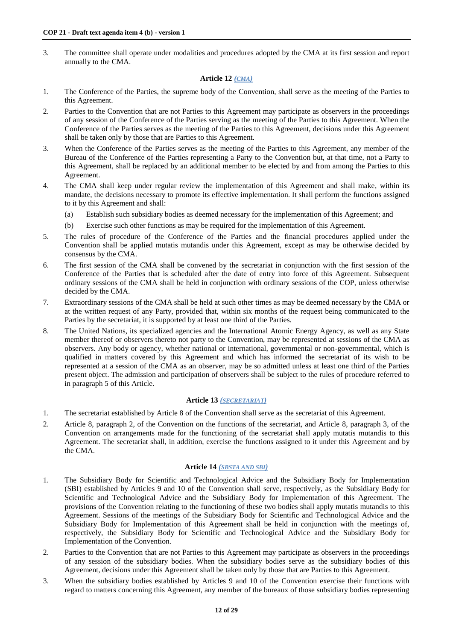3. The committee shall operate under modalities and procedures adopted by the CMA at its first session and report annually to the CMA.

# **Article 12** *(CMA)*

- 1. The Conference of the Parties, the supreme body of the Convention, shall serve as the meeting of the Parties to this Agreement.
- 2. Parties to the Convention that are not Parties to this Agreement may participate as observers in the proceedings of any session of the Conference of the Parties serving as the meeting of the Parties to this Agreement. When the Conference of the Parties serves as the meeting of the Parties to this Agreement, decisions under this Agreement shall be taken only by those that are Parties to this Agreement.
- 3. When the Conference of the Parties serves as the meeting of the Parties to this Agreement, any member of the Bureau of the Conference of the Parties representing a Party to the Convention but, at that time, not a Party to this Agreement, shall be replaced by an additional member to be elected by and from among the Parties to this Agreement.
- 4. The CMA shall keep under regular review the implementation of this Agreement and shall make, within its mandate, the decisions necessary to promote its effective implementation. It shall perform the functions assigned to it by this Agreement and shall:
	- (a) Establish such subsidiary bodies as deemed necessary for the implementation of this Agreement; and
	- (b) Exercise such other functions as may be required for the implementation of this Agreement.
- 5. The rules of procedure of the Conference of the Parties and the financial procedures applied under the Convention shall be applied mutatis mutandis under this Agreement, except as may be otherwise decided by consensus by the CMA.
- 6. The first session of the CMA shall be convened by the secretariat in conjunction with the first session of the Conference of the Parties that is scheduled after the date of entry into force of this Agreement. Subsequent ordinary sessions of the CMA shall be held in conjunction with ordinary sessions of the COP, unless otherwise decided by the CMA.
- 7. Extraordinary sessions of the CMA shall be held at such other times as may be deemed necessary by the CMA or at the written request of any Party, provided that, within six months of the request being communicated to the Parties by the secretariat, it is supported by at least one third of the Parties.
- 8. The United Nations, its specialized agencies and the International Atomic Energy Agency, as well as any State member thereof or observers thereto not party to the Convention, may be represented at sessions of the CMA as observers. Any body or agency, whether national or international, governmental or non-governmental, which is qualified in matters covered by this Agreement and which has informed the secretariat of its wish to be represented at a session of the CMA as an observer, may be so admitted unless at least one third of the Parties present object. The admission and participation of observers shall be subject to the rules of procedure referred to in paragraph 5 of this Article.

# **Article 13** *(SECRETARIAT)*

- 1. The secretariat established by Article 8 of the Convention shall serve as the secretariat of this Agreement.
- 2. Article 8, paragraph 2, of the Convention on the functions of the secretariat, and Article 8, paragraph 3, of the Convention on arrangements made for the functioning of the secretariat shall apply mutatis mutandis to this Agreement. The secretariat shall, in addition, exercise the functions assigned to it under this Agreement and by the CMA.

# **Article 14** *(SBSTA AND SBI)*

- 1. The Subsidiary Body for Scientific and Technological Advice and the Subsidiary Body for Implementation (SBI) established by Articles 9 and 10 of the Convention shall serve, respectively, as the Subsidiary Body for Scientific and Technological Advice and the Subsidiary Body for Implementation of this Agreement. The provisions of the Convention relating to the functioning of these two bodies shall apply mutatis mutandis to this Agreement. Sessions of the meetings of the Subsidiary Body for Scientific and Technological Advice and the Subsidiary Body for Implementation of this Agreement shall be held in conjunction with the meetings of, respectively, the Subsidiary Body for Scientific and Technological Advice and the Subsidiary Body for Implementation of the Convention.
- 2. Parties to the Convention that are not Parties to this Agreement may participate as observers in the proceedings of any session of the subsidiary bodies. When the subsidiary bodies serve as the subsidiary bodies of this Agreement, decisions under this Agreement shall be taken only by those that are Parties to this Agreement.
- 3. When the subsidiary bodies established by Articles 9 and 10 of the Convention exercise their functions with regard to matters concerning this Agreement, any member of the bureaux of those subsidiary bodies representing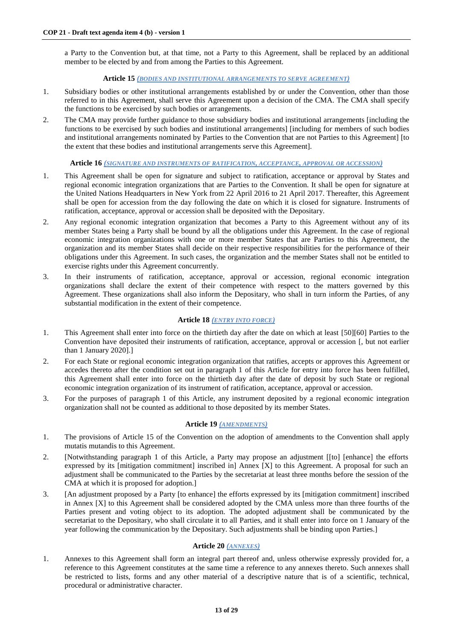a Party to the Convention but, at that time, not a Party to this Agreement, shall be replaced by an additional member to be elected by and from among the Parties to this Agreement.

## **Article 15** *(BODIES AND INSTITUTIONAL ARRANGEMENTS TO SERVE AGREEMENT)*

- 1. Subsidiary bodies or other institutional arrangements established by or under the Convention, other than those referred to in this Agreement, shall serve this Agreement upon a decision of the CMA. The CMA shall specify the functions to be exercised by such bodies or arrangements.
- 2. The CMA may provide further guidance to those subsidiary bodies and institutional arrangements [including the functions to be exercised by such bodies and institutional arrangements] [including for members of such bodies and institutional arrangements nominated by Parties to the Convention that are not Parties to this Agreement] [to the extent that these bodies and institutional arrangements serve this Agreement].

### **Article 16** *(SIGNATURE AND INSTRUMENTS OF RATIFICATION, ACCEPTANCE, APPROVAL OR ACCESSION)*

- 1. This Agreement shall be open for signature and subject to ratification, acceptance or approval by States and regional economic integration organizations that are Parties to the Convention. It shall be open for signature at the United Nations Headquarters in New York from 22 April 2016 to 21 April 2017. Thereafter, this Agreement shall be open for accession from the day following the date on which it is closed for signature. Instruments of ratification, acceptance, approval or accession shall be deposited with the Depositary.
- 2. Any regional economic integration organization that becomes a Party to this Agreement without any of its member States being a Party shall be bound by all the obligations under this Agreement. In the case of regional economic integration organizations with one or more member States that are Parties to this Agreement, the organization and its member States shall decide on their respective responsibilities for the performance of their obligations under this Agreement. In such cases, the organization and the member States shall not be entitled to exercise rights under this Agreement concurrently.
- 3. In their instruments of ratification, acceptance, approval or accession, regional economic integration organizations shall declare the extent of their competence with respect to the matters governed by this Agreement. These organizations shall also inform the Depositary, who shall in turn inform the Parties, of any substantial modification in the extent of their competence.

## **Article 18** *(ENTRY INTO FORCE)*

- 1. This Agreement shall enter into force on the thirtieth day after the date on which at least [50][60] Parties to the Convention have deposited their instruments of ratification, acceptance, approval or accession [, but not earlier than 1 January 2020].]
- 2. For each State or regional economic integration organization that ratifies, accepts or approves this Agreement or accedes thereto after the condition set out in paragraph 1 of this Article for entry into force has been fulfilled, this Agreement shall enter into force on the thirtieth day after the date of deposit by such State or regional economic integration organization of its instrument of ratification, acceptance, approval or accession.
- 3. For the purposes of paragraph 1 of this Article, any instrument deposited by a regional economic integration organization shall not be counted as additional to those deposited by its member States.

# **Article 19** *(AMENDMENTS)*

- 1. The provisions of Article 15 of the Convention on the adoption of amendments to the Convention shall apply mutatis mutandis to this Agreement.
- 2. [Notwithstanding paragraph 1 of this Article, a Party may propose an adjustment [[to] [enhance] the efforts expressed by its [mitigation commitment] inscribed in] Annex [X] to this Agreement. A proposal for such an adjustment shall be communicated to the Parties by the secretariat at least three months before the session of the CMA at which it is proposed for adoption.]
- 3. [An adjustment proposed by a Party [to enhance] the efforts expressed by its [mitigation commitment] inscribed in Annex [X] to this Agreement shall be considered adopted by the CMA unless more than three fourths of the Parties present and voting object to its adoption. The adopted adjustment shall be communicated by the secretariat to the Depositary, who shall circulate it to all Parties, and it shall enter into force on 1 January of the year following the communication by the Depositary. Such adjustments shall be binding upon Parties.]

# **Article 20** *(ANNEXES)*

1. Annexes to this Agreement shall form an integral part thereof and, unless otherwise expressly provided for, a reference to this Agreement constitutes at the same time a reference to any annexes thereto. Such annexes shall be restricted to lists, forms and any other material of a descriptive nature that is of a scientific, technical, procedural or administrative character.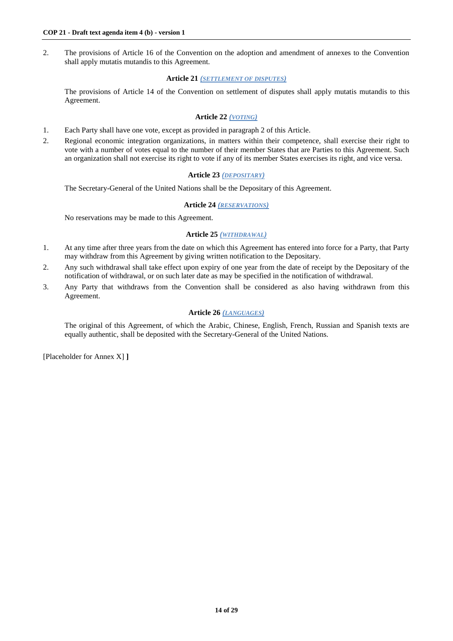2. The provisions of Article 16 of the Convention on the adoption and amendment of annexes to the Convention shall apply mutatis mutandis to this Agreement.

# **Article 21** *(SETTLEMENT OF DISPUTES)*

The provisions of Article 14 of the Convention on settlement of disputes shall apply mutatis mutandis to this Agreement.

# **Article 22** *(VOTING)*

- 1. Each Party shall have one vote, except as provided in paragraph 2 of this Article.
- 2. Regional economic integration organizations, in matters within their competence, shall exercise their right to vote with a number of votes equal to the number of their member States that are Parties to this Agreement. Such an organization shall not exercise its right to vote if any of its member States exercises its right, and vice versa.

# **Article 23** *(DEPOSITARY)*

The Secretary-General of the United Nations shall be the Depositary of this Agreement.

# **Article 24** *(RESERVATIONS)*

No reservations may be made to this Agreement.

# **Article 25** *(WITHDRAWAL)*

- 1. At any time after three years from the date on which this Agreement has entered into force for a Party, that Party may withdraw from this Agreement by giving written notification to the Depositary.
- 2. Any such withdrawal shall take effect upon expiry of one year from the date of receipt by the Depositary of the notification of withdrawal, or on such later date as may be specified in the notification of withdrawal.
- 3. Any Party that withdraws from the Convention shall be considered as also having withdrawn from this Agreement.

# **Article 26** *(LANGUAGES)*

The original of this Agreement, of which the Arabic, Chinese, English, French, Russian and Spanish texts are equally authentic, shall be deposited with the Secretary-General of the United Nations.

[Placeholder for Annex X] **]**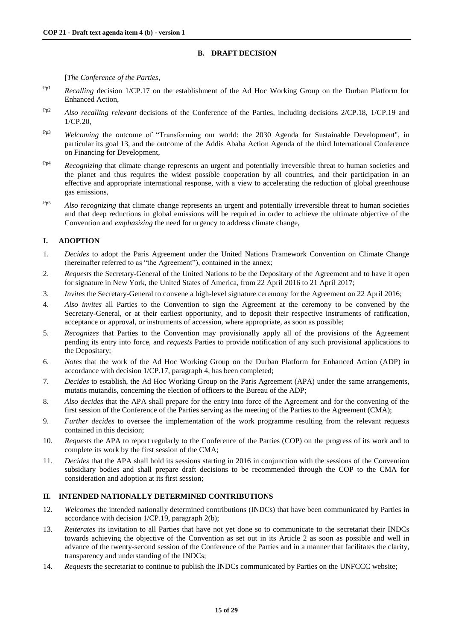# **B. DRAFT DECISION**

[*The Conference of the Parties*,

- Pp1 *Recalling* decision 1/CP.17 on the establishment of the Ad Hoc Working Group on the Durban Platform for Enhanced Action,
- Pp2 *Also recalling relevant* decisions of the Conference of the Parties, including decisions 2/CP.18, 1/CP.19 and 1/CP.20,
- Pp3 *Welcoming* the outcome of "Transforming our world: the 2030 Agenda for Sustainable Development", in particular its goal 13, and the outcome of the Addis Ababa Action Agenda of the third International Conference on Financing for Development,
- Pp4 *Recognizing* that climate change represents an urgent and potentially irreversible threat to human societies and the planet and thus requires the widest possible cooperation by all countries, and their participation in an effective and appropriate international response, with a view to accelerating the reduction of global greenhouse gas emissions,
- Pp5 *Also* r*ecognizing* that climate change represents an urgent and potentially irreversible threat to human societies and that deep reductions in global emissions will be required in order to achieve the ultimate objective of the Convention and *emphasizing* the need for urgency to address climate change,

# **I. ADOPTION**

- 1. *Decides* to adopt the Paris Agreement under the United Nations Framework Convention on Climate Change (hereinafter referred to as "the Agreement"), contained in the annex;
- 2. *Requests* the Secretary-General of the United Nations to be the Depositary of the Agreement and to have it open for signature in New York, the United States of America, from 22 April 2016 to 21 April 2017;
- 3. *Invites* the Secretary-General to convene a high-level signature ceremony for the Agreement on 22 April 2016;
- 4. *Also invites* all Parties to the Convention to sign the Agreement at the ceremony to be convened by the Secretary-General, or at their earliest opportunity, and to deposit their respective instruments of ratification, acceptance or approval, or instruments of accession, where appropriate, as soon as possible;
- 5. *Recognizes* that Parties to the Convention may provisionally apply all of the provisions of the Agreement pending its entry into force, and *requests* Parties to provide notification of any such provisional applications to the Depositary;
- 6. *Notes* that the work of the Ad Hoc Working Group on the Durban Platform for Enhanced Action (ADP) in accordance with decision 1/CP.17, paragraph 4, has been completed;
- 7. *Decides* to establish, the Ad Hoc Working Group on the Paris Agreement (APA) under the same arrangements, mutatis mutandis, concerning the election of officers to the Bureau of the ADP;
- 8. *Also decides* that the APA shall prepare for the entry into force of the Agreement and for the convening of the first session of the Conference of the Parties serving as the meeting of the Parties to the Agreement (CMA);
- 9. *Further decides* to oversee the implementation of the work programme resulting from the relevant requests contained in this decision;
- 10. *Requests* the APA to report regularly to the Conference of the Parties (COP) on the progress of its work and to complete its work by the first session of the CMA;
- 11. *Decides* that the APA shall hold its sessions starting in 2016 in conjunction with the sessions of the Convention subsidiary bodies and shall prepare draft decisions to be recommended through the COP to the CMA for consideration and adoption at its first session;

# **II. INTENDED NATIONALLY DETERMINED CONTRIBUTIONS**

- 12. *Welcomes* the intended nationally determined contributions (INDCs) that have been communicated by Parties in accordance with decision 1/CP.19, paragraph 2(b);
- 13. *Reiterates* its invitation to all Parties that have not yet done so to communicate to the secretariat their INDCs towards achieving the objective of the Convention as set out in its Article 2 as soon as possible and well in advance of the twenty-second session of the Conference of the Parties and in a manner that facilitates the clarity, transparency and understanding of the INDCs;
- 14. *Requests* the secretariat to continue to publish the INDCs communicated by Parties on the UNFCCC website;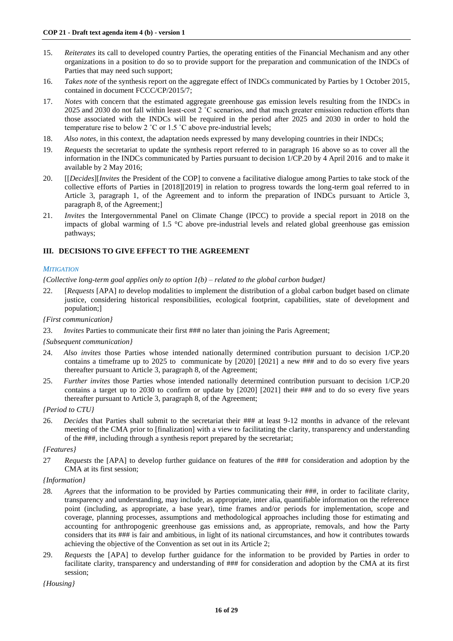- 15. *Reiterates* its call to developed country Parties, the operating entities of the Financial Mechanism and any other organizations in a position to do so to provide support for the preparation and communication of the INDCs of Parties that may need such support;
- 16. *Takes note* of the synthesis report on the aggregate effect of INDCs communicated by Parties by 1 October 2015, contained in document FCCC/CP/2015/7;
- 17. *Notes* with concern that the estimated aggregate greenhouse gas emission levels resulting from the INDCs in 2025 and 2030 do not fall within least-cost 2 ˚C scenarios, and that much greater emission reduction efforts than those associated with the INDCs will be required in the period after 2025 and 2030 in order to hold the temperature rise to below 2  $^{\circ}$ C or 1.5  $^{\circ}$ C above pre-industrial levels;
- 18. *Also notes,* in this context, the adaptation needs expressed by many developing countries in their INDCs;
- 19. *Requests* the secretariat to update the synthesis report referred to in paragraph 16 above so as to cover all the information in the INDCs communicated by Parties pursuant to decision 1/CP.20 by 4 April 2016 and to make it available by 2 May 2016;
- 20. [[*Decides*][*Invites* the President of the COP] to convene a facilitative dialogue among Parties to take stock of the collective efforts of Parties in [2018][2019] in relation to progress towards the long-term goal referred to in Article 3, paragraph 1, of the Agreement and to inform the preparation of INDCs pursuant to Article 3, paragraph 8, of the Agreement;]
- 21. *Invites* the Intergovernmental Panel on Climate Change (IPCC) to provide a special report in 2018 on the impacts of global warming of 1.5 °C above pre-industrial levels and related global greenhouse gas emission pathways;

# **III. DECISIONS TO GIVE EFFECT TO THE AGREEMENT**

# *MITIGATION*

*{Collective long-term goal applies only to option 1(b) – related to the global carbon budget}*

- 22. [*Requests* [APA] *to* develop modalities to implement the distribution of a global carbon budget based on climate justice, considering historical responsibilities, ecological footprint, capabilities, state of development and population;]
- *{First communication}*
- 23. *Invites* Parties to communicate their first ### no later than joining the Paris Agreement;

#### *{Subsequent communication}*

- 24. *Also invites* those Parties whose intended nationally determined contribution pursuant to decision 1/CP.20 contains a timeframe up to 2025 to communicate by [2020] [2021] a new ### and to do so every five years thereafter pursuant to Article 3, paragraph 8, of the Agreement;
- 25. *Further invites* those Parties whose intended nationally determined contribution pursuant to decision 1/CP.20 contains a target up to 2030 to confirm or update by [2020] [2021] their ### and to do so every five years thereafter pursuant to Article 3, paragraph 8, of the Agreement;

#### *{Period to CTU}*

26. *Decides* that Parties shall submit to the secretariat their ### at least 9-12 months in advance of the relevant meeting of the CMA prior to [finalization] with a view to facilitating the clarity, transparency and understanding of the ###, including through a synthesis report prepared by the secretariat;

#### *{Features}*

27 *Requests* the [APA] to develop further guidance on features of the ### for consideration and adoption by the CMA at its first session;

#### *{Information}*

- 28*. Agrees* that the information to be provided by Parties communicating their ###, in order to facilitate clarity, transparency and understanding, may include, as appropriate, inter alia, quantifiable information on the reference point (including, as appropriate, a base year), time frames and/or periods for implementation, scope and coverage, planning processes, assumptions and methodological approaches including those for estimating and accounting for anthropogenic greenhouse gas emissions and, as appropriate, removals, and how the Party considers that its ### is fair and ambitious, in light of its national circumstances, and how it contributes towards achieving the objective of the Convention as set out in its Article 2;
- 29. *Requests* the [APA] to develop further guidance for the information to be provided by Parties in order to facilitate clarity, transparency and understanding of ### for consideration and adoption by the CMA at its first session;

*{Housing}*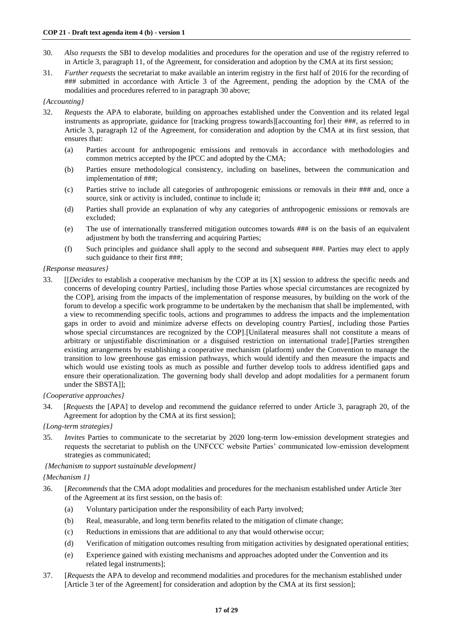- 30. *Also requests* the SBI to develop modalities and procedures for the operation and use of the registry referred to in Article 3, paragraph 11, of the Agreement, for consideration and adoption by the CMA at its first session;
- 31. *Further requests* the secretariat to make available an interim registry in the first half of 2016 for the recording of ### submitted in accordance with Article 3 of the Agreement, pending the adoption by the CMA of the modalities and procedures referred to in paragraph 30 above;

## *{Accounting}*

- 32. *Requests* the APA to elaborate, building on approaches established under the Convention and its related legal instruments as appropriate, guidance for [tracking progress towards][accounting for] their ###, as referred to in Article 3, paragraph 12 of the Agreement, for consideration and adoption by the CMA at its first session, that ensures that:
	- (a) Parties account for anthropogenic emissions and removals in accordance with methodologies and common metrics accepted by the IPCC and adopted by the CMA;
	- (b) Parties ensure methodological consistency, including on baselines, between the communication and implementation of ###;
	- (c) Parties strive to include all categories of anthropogenic emissions or removals in their ### and, once a source, sink or activity is included, continue to include it;
	- (d) Parties shall provide an explanation of why any categories of anthropogenic emissions or removals are excluded;
	- (e) The use of internationally transferred mitigation outcomes towards ### is on the basis of an equivalent adjustment by both the transferring and acquiring Parties;
	- (f) Such principles and guidance shall apply to the second and subsequent ###. Parties may elect to apply such guidance to their first ###;

#### *{Response measures}*

33. [[*Decides* to establish a cooperative mechanism by the COP at its [X] session to address the specific needs and concerns of developing country Parties[, including those Parties whose special circumstances are recognized by the COP], arising from the impacts of the implementation of response measures, by building on the work of the forum to develop a specific work programme to be undertaken by the mechanism that shall be implemented, with a view to recommending specific tools, actions and programmes to address the impacts and the implementation gaps in order to avoid and minimize adverse effects on developing country Parties[, including those Parties whose special circumstances are recognized by the COP].[Unilateral measures shall not constitute a means of arbitrary or unjustifiable discrimination or a disguised restriction on international trade].[Parties strengthen existing arrangements by establishing a cooperative mechanism (platform) under the Convention to manage the transition to low greenhouse gas emission pathways, which would identify and then measure the impacts and which would use existing tools as much as possible and further develop tools to address identified gaps and ensure their operationalization. The governing body shall develop and adopt modalities for a permanent forum under the SBSTAll:

### *{Cooperative approaches}*

34. [*Requests* the [APA] to develop and recommend the guidance referred to under Article 3, paragraph 20, of the Agreement for adoption by the CMA at its first session];

#### *{Long-term strategies}*

35. *Invites* Parties to communicate to the secretariat by 2020 long-term low-emission development strategies and requests the secretariat to publish on the UNFCCC website Parties' communicated low-emission development strategies as communicated;

# *{Mechanism to support sustainable development}*

# *{Mechanism 1}*

- 36. [*Recommends* that the CMA adopt modalities and procedures for the mechanism established under Article 3ter of the Agreement at its first session, on the basis of:
	- (a) Voluntary participation under the responsibility of each Party involved;
	- (b) Real, measurable, and long term benefits related to the mitigation of climate change;
	- (c) Reductions in emissions that are additional to any that would otherwise occur;
	- (d) Verification of mitigation outcomes resulting from mitigation activities by designated operational entities;
	- (e) Experience gained with existing mechanisms and approaches adopted under the Convention and its related legal instruments];
- 37. [*Requests* the APA to develop and recommend modalities and procedures for the mechanism established under [Article 3 ter of the Agreement] for consideration and adoption by the CMA at its first session];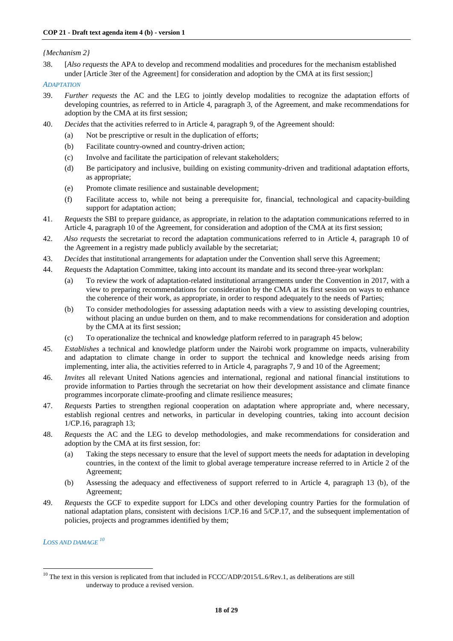# *{Mechanism 2}*

38. [*Also requests* the APA to develop and recommend modalities and procedures for the mechanism established under [Article 3ter of the Agreement] for consideration and adoption by the CMA at its first session;]

# *ADAPTATION*

- 39. *Further requests* the AC and the LEG to jointly develop modalities to recognize the adaptation efforts of developing countries, as referred to in Article 4, paragraph 3, of the Agreement, and make recommendations for adoption by the CMA at its first session;
- 40. *Decides* that the activities referred to in Article 4, paragraph 9, of the Agreement should:
	- (a) Not be prescriptive or result in the duplication of efforts;
	- (b) Facilitate country-owned and country-driven action;
	- (c) Involve and facilitate the participation of relevant stakeholders;
	- (d) Be participatory and inclusive, building on existing community-driven and traditional adaptation efforts, as appropriate;
	- (e) Promote climate resilience and sustainable development;
	- (f) Facilitate access to, while not being a prerequisite for, financial, technological and capacity-building support for adaptation action;
- 41. *Requests* the SBI to prepare guidance, as appropriate, in relation to the adaptation communications referred to in Article 4, paragraph 10 of the Agreement, for consideration and adoption of the CMA at its first session;
- 42. *Also requests* the secretariat to record the adaptation communications referred to in Article 4, paragraph 10 of the Agreement in a registry made publicly available by the secretariat;
- 43. *Decides* that institutional arrangements for adaptation under the Convention shall serve this Agreement;
- 44. *Requests* the Adaptation Committee, taking into account its mandate and its second three-year workplan:
	- (a) To review the work of adaptation-related institutional arrangements under the Convention in 2017, with a view to preparing recommendations for consideration by the CMA at its first session on ways to enhance the coherence of their work, as appropriate, in order to respond adequately to the needs of Parties;
	- (b) To consider methodologies for assessing adaptation needs with a view to assisting developing countries, without placing an undue burden on them, and to make recommendations for consideration and adoption by the CMA at its first session;
	- (c) To operationalize the technical and knowledge platform referred to in paragraph 45 below;
- 45. *Establishes* a technical and knowledge platform under the Nairobi work programme on impacts, vulnerability and adaptation to climate change in order to support the technical and knowledge needs arising from implementing, inter alia, the activities referred to in Article 4, paragraphs 7, 9 and 10 of the Agreement;
- 46. *Invites* all relevant United Nations agencies and international, regional and national financial institutions to provide information to Parties through the secretariat on how their development assistance and climate finance programmes incorporate climate-proofing and climate resilience measures;
- 47. *Requests* Parties to strengthen regional cooperation on adaptation where appropriate and, where necessary, establish regional centres and networks, in particular in developing countries, taking into account decision 1/CP.16, paragraph 13;
- 48. *Requests* the AC and the LEG to develop methodologies, and make recommendations for consideration and adoption by the CMA at its first session, for:
	- (a) Taking the steps necessary to ensure that the level of support meets the needs for adaptation in developing countries, in the context of the limit to global average temperature increase referred to in Article 2 of the Agreement;
	- (b) Assessing the adequacy and effectiveness of support referred to in Article 4, paragraph 13 (b), of the Agreement;
- 49. *Requests* the GCF to expedite support for LDCs and other developing country Parties for the formulation of national adaptation plans, consistent with decisions 1/CP.16 and 5/CP.17, and the subsequent implementation of policies, projects and programmes identified by them;

*LOSS AND DAMAGE <sup>10</sup>*

-

 $10$  The text in this version is replicated from that included in FCCC/ADP/2015/L.6/Rev.1, as deliberations are still underway to produce a revised version.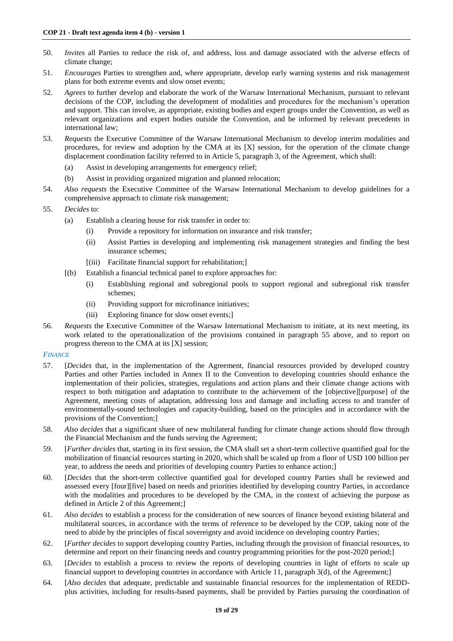- 50. *Invites* all Parties to reduce the risk of, and address, loss and damage associated with the adverse effects of climate change;
- 51. *Encourages* Parties to strengthen and, where appropriate, develop early warning systems and risk management plans for both extreme events and slow onset events;
- 52. *Agrees* to further develop and elaborate the work of the Warsaw International Mechanism, pursuant to relevant decisions of the COP, including the development of modalities and procedures for the mechanism's operation and support. This can involve, as appropriate, existing bodies and expert groups under the Convention, as well as relevant organizations and expert bodies outside the Convention, and be informed by relevant precedents in international law;
- 53. *Requests* the Executive Committee of the Warsaw International Mechanism to develop interim modalities and procedures, for review and adoption by the CMA at its [X] session, for the operation of the climate change displacement coordination facility referred to in Article 5, paragraph 3, of the Agreement, which shall:
	- (a) Assist in developing arrangements for emergency relief;
	- (b) Assist in providing organized migration and planned relocation;
- 54. *Also requests* the Executive Committee of the Warsaw International Mechanism to develop guidelines for a comprehensive approach to climate risk management;
- 55. *Decides* to:
	- (a) Establish a clearing house for risk transfer in order to:
		- (i) Provide a repository for information on insurance and risk transfer;
		- (ii) Assist Parties in developing and implementing risk management strategies and finding the best insurance schemes;
		- [(iii) Facilitate financial support for rehabilitation;]
	- [(b) Establish a financial technical panel to explore approaches for:
		- (i) Establishing regional and subregional pools to support regional and subregional risk transfer schemes;
		- (ii) Providing support for microfinance initiatives;
		- (iii) Exploring finance for slow onset events;]
- 56. *Requests* the Executive Committee of the Warsaw International Mechanism to initiate, at its next meeting, its work related to the operationalization of the provisions contained in paragraph 55 above, and to report on progress thereon to the CMA at its [X] session;

#### *FINANCE*

- 57. [*Decides* that, in the implementation of the Agreement, financial resources provided by developed country Parties and other Parties included in Annex II to the Convention to developing countries should enhance the implementation of their policies, strategies, regulations and action plans and their climate change actions with respect to both mitigation and adaptation to contribute to the achievement of the [objective][purpose] of the Agreement, meeting costs of adaptation, addressing loss and damage and including access to and transfer of environmentally-sound technologies and capacity-building, based on the principles and in accordance with the provisions of the Convention;]
- 58. *Also decides* that a significant share of new multilateral funding for climate change actions should flow through the Financial Mechanism and the funds serving the Agreement;
- 59. [*Further decides* that, starting in its first session, the CMA shall set a short-term collective quantified goal for the mobilization of financial resources starting in 2020, which shall be scaled up from a floor of USD 100 billion per year, to address the needs and priorities of developing country Parties to enhance action;]
- 60. [*Decides* that the short-term collective quantified goal for developed country Parties shall be reviewed and assessed every [four][five] based on needs and priorities identified by developing country Parties, in accordance with the modalities and procedures to be developed by the CMA, in the context of achieving the purpose as defined in Article 2 of this Agreement;]
- 61. *Also decides* to establish a process for the consideration of new sources of finance beyond existing bilateral and multilateral sources, in accordance with the terms of reference to be developed by the COP, taking note of the need to abide by the principles of fiscal sovereignty and avoid incidence on developing country Parties;
- 62. [*Further decides* to support developing country Parties, including through the provision of financial resources, to determine and report on their financing needs and country programming priorities for the post-2020 period;]
- 63. [*Decides* to establish a process to review the reports of developing countries in light of efforts to scale up financial support to developing countries in accordance with Article 11, paragraph 3(d), of the Agreement;]
- 64*.* [*Also decides* that adequate, predictable and sustainable financial resources for the implementation of REDDplus activities, including for results-based payments, shall be provided by Parties pursuing the coordination of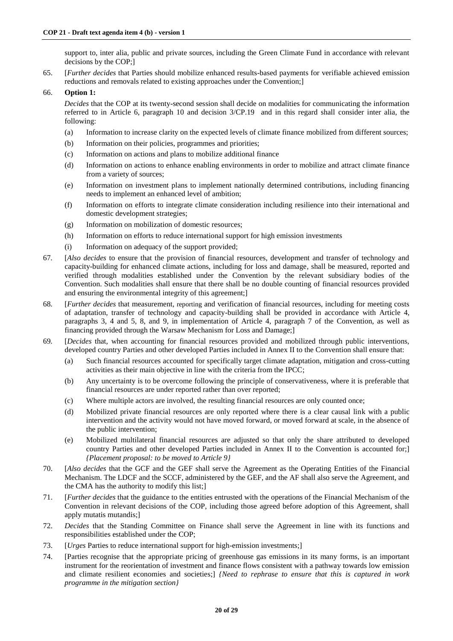support to, inter alia, public and private sources, including the Green Climate Fund in accordance with relevant decisions by the COP;]

65. [*Further decides* that Parties should mobilize enhanced results-based payments for verifiable achieved emission reductions and removals related to existing approaches under the Convention;]

## 66. **Option 1:**

*Decides* that the COP at its twenty-second session shall decide on modalities for communicating the information referred to in Article 6, paragraph 10 and decision 3/CP.19 and in this regard shall consider inter alia, the following:

- (a) Information to increase clarity on the expected levels of climate finance mobilized from different sources;
- (b) Information on their policies, programmes and priorities;
- (c) Information on actions and plans to mobilize additional finance
- (d) Information on actions to enhance enabling environments in order to mobilize and attract climate finance from a variety of sources;
- (e) Information on investment plans to implement nationally determined contributions, including financing needs to implement an enhanced level of ambition;
- (f) Information on efforts to integrate climate consideration including resilience into their international and domestic development strategies;
- (g) Information on mobilization of domestic resources;
- (h) Information on efforts to reduce international support for high emission investments
- (i) Information on adequacy of the support provided;
- 67*.* [*Also decides* to ensure that the provision of financial resources, development and transfer of technology and capacity-building for enhanced climate actions, including for loss and damage, shall be measured, reported and verified through modalities established under the Convention by the relevant subsidiary bodies of the Convention. Such modalities shall ensure that there shall be no double counting of financial resources provided and ensuring the environmental integrity of this agreement;]
- 68*.* [*Further decides* that measurement, reporting and verification of financial resources, including for meeting costs of adaptation, transfer of technology and capacity-building shall be provided in accordance with Article 4, paragraphs 3, 4 and 5, 8, and 9, in implementation of Article 4, paragraph 7 of the Convention, as well as financing provided through the Warsaw Mechanism for Loss and Damage;]
- 69*.* [*Decides* that, when accounting for financial resources provided and mobilized through public interventions, developed country Parties and other developed Parties included in Annex II to the Convention shall ensure that:
	- (a) Such financial resources accounted for specifically target climate adaptation, mitigation and cross-cutting activities as their main objective in line with the criteria from the IPCC;
	- (b) Any uncertainty is to be overcome following the principle of conservativeness, where it is preferable that financial resources are under reported rather than over reported;
	- (c) Where multiple actors are involved, the resulting financial resources are only counted once;
	- (d) Mobilized private financial resources are only reported where there is a clear causal link with a public intervention and the activity would not have moved forward, or moved forward at scale, in the absence of the public intervention;
	- (e) Mobilized multilateral financial resources are adjusted so that only the share attributed to developed country Parties and other developed Parties included in Annex II to the Convention is accounted for;] *{Placement proposal: to be moved to Article 9}*
- 70. [*Also decides* that the GCF and the GEF shall serve the Agreement as the Operating Entities of the Financial Mechanism. The LDCF and the SCCF, administered by the GEF, and the AF shall also serve the Agreement, and the CMA has the authority to modify this list;]
- 71. [*Further decides* that the guidance to the entities entrusted with the operations of the Financial Mechanism of the Convention in relevant decisions of the COP, including those agreed before adoption of this Agreement, shall apply mutatis mutandis;]
- 72. *Decides* that the Standing Committee on Finance shall serve the Agreement in line with its functions and responsibilities established under the COP;
- 73. [*Urges* Parties to reduce international support for high-emission investments;]
- 74. [Parties recognise that the appropriate pricing of greenhouse gas emissions in its many forms, is an important instrument for the reorientation of investment and finance flows consistent with a pathway towards low emission and climate resilient economies and societies;] *{Need to rephrase to ensure that this is captured in work programme in the mitigation section}*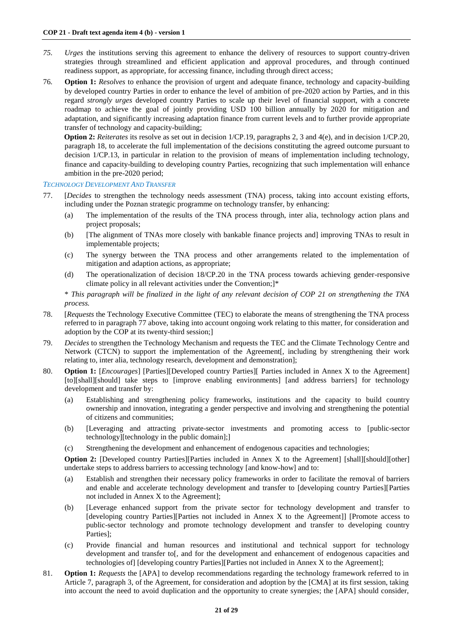- *75. Urges* the institutions serving this agreement to enhance the delivery of resources to support country-driven strategies through streamlined and efficient application and approval procedures, and through continued readiness support, as appropriate, for accessing finance, including through direct access;
- 76*.* **Option 1:** *Resolves* to enhance the provision of urgent and adequate finance, technology and capacity-building by developed country Parties in order to enhance the level of ambition of pre-2020 action by Parties, and in this regard *strongly urges* developed country Parties to scale up their level of financial support, with a concrete roadmap to achieve the goal of jointly providing USD 100 billion annually by 2020 for mitigation and adaptation, and significantly increasing adaptation finance from current levels and to further provide appropriate transfer of technology and capacity-building;

**Option 2:** *Reiterates* its resolve as set out in decision 1/CP.19, paragraphs 2, 3 and 4(e), and in decision 1/CP.20, paragraph 18, to accelerate the full implementation of the decisions constituting the agreed outcome pursuant to decision 1/CP.13, in particular in relation to the provision of means of implementation including technology, finance and capacity-building to developing country Parties, recognizing that such implementation will enhance ambition in the pre-2020 period;

## *TECHNOLOGY DEVELOPMENT AND TRANSFER*

- 77. [*Decides* to strengthen the technology needs assessment (TNA) process, taking into account existing efforts, including under the Poznan strategic programme on technology transfer, by enhancing:
	- (a) The implementation of the results of the TNA process through, inter alia, technology action plans and project proposals;
	- (b) [The alignment of TNAs more closely with bankable finance projects and] improving TNAs to result in implementable projects;
	- (c) The synergy between the TNA process and other arrangements related to the implementation of mitigation and adaption actions, as appropriate;
	- (d) The operationalization of decision 18/CP.20 in the TNA process towards achieving gender-responsive climate policy in all relevant activities under the Convention;]\*

\* *This paragraph will be finalized in the light of any relevant decision of COP 21 on strengthening the TNA process.*

- 78. [*Requests* the Technology Executive Committee (TEC) to elaborate the means of strengthening the TNA process referred to in paragraph 77 above, taking into account ongoing work relating to this matter, for consideration and adoption by the COP at its twenty-third session;]
- 79. *Decides* to strengthen the Technology Mechanism and requests the TEC and the Climate Technology Centre and Network (CTCN) to support the implementation of the Agreement[, including by strengthening their work relating to, inter alia, technology research, development and demonstration];
- 80. **Option 1:** [*Encourages*] [Parties][Developed country Parties][ Parties included in Annex X to the Agreement] [to][shall][should] take steps to [improve enabling environments] [and address barriers] for technology development and transfer by:
	- (a) Establishing and strengthening policy frameworks, institutions and the capacity to build country ownership and innovation, integrating a gender perspective and involving and strengthening the potential of citizens and communities;
	- (b) [Leveraging and attracting private-sector investments and promoting access to [public-sector technology][technology in the public domain];]
	- (c) Strengthening the development and enhancement of endogenous capacities and technologies;

**Option 2:** [Developed country Parties][Parties included in Annex X to the Agreement] [shall][should][other] undertake steps to address barriers to accessing technology [and know-how] and to:

- (a) Establish and strengthen their necessary policy frameworks in order to facilitate the removal of barriers and enable and accelerate technology development and transfer to [developing country Parties][Parties not included in Annex X to the Agreement];
- (b) [Leverage enhanced support from the private sector for technology development and transfer to [developing country Parties][Parties not included in Annex X to the Agreement]] [Promote access to public-sector technology and promote technology development and transfer to developing country Parties];
- (c) Provide financial and human resources and institutional and technical support for technology development and transfer to[, and for the development and enhancement of endogenous capacities and technologies of] [developing country Parties][Parties not included in Annex X to the Agreement];
- 81. **Option 1:** *Requests* the [APA] to develop recommendations regarding the technology framework referred to in Article 7, paragraph 3, of the Agreement, for consideration and adoption by the [CMA] at its first session, taking into account the need to avoid duplication and the opportunity to create synergies; the [APA] should consider,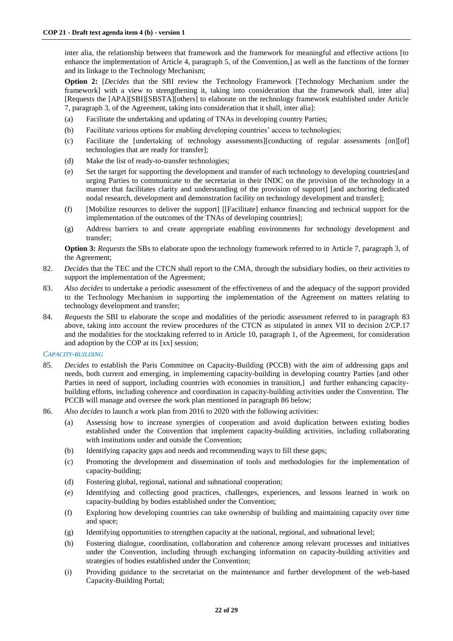inter alia, the relationship between that framework and the framework for meaningful and effective actions [to enhance the implementation of Article 4, paragraph 5, of the Convention,] as well as the functions of the former and its linkage to the Technology Mechanism;

**Option 2:** [*Decides* that the SBI review the Technology Framework [Technology Mechanism under the framework] with a view to strengthening it, taking into consideration that the framework shall, inter alia] [Requests the [APA][SBI][SBSTA][others] to elaborate on the technology framework established under Article 7, paragraph 3, of the Agreement, taking into consideration that it shall, inter alia]:

- (a) Facilitate the undertaking and updating of TNAs in developing country Parties;
- (b) Facilitate various options for enabling developing countries' access to technologies;
- (c) Facilitate the [undertaking of technology assessments][conducting of regular assessments [on][of] technologies that are ready for transfer];
- (d) Make the list of ready-to-transfer technologies;
- (e) Set the target for supporting the development and transfer of each technology to developing countries[and urging Parties to communicate to the secretariat in their INDC on the provision of the technology in a manner that facilitates clarity and understanding of the provision of support] [and anchoring dedicated nodal research, development and demonstration facility on technology development and transfer];
- (f) [Mobilize resources to deliver the support] [[Facilitate] enhance financing and technical support for the implementation of the outcomes of the TNAs of developing countries];
- (g) Address barriers to and create appropriate enabling environments for technology development and transfer;

**Option 3:** *Requests* the SBs to elaborate upon the technology framework referred to in Article 7, paragraph 3, of the Agreement;

- 82. *Decides* that the TEC and the CTCN shall report to the CMA, through the subsidiary bodies, on their activities to support the implementation of the Agreement;
- 83. *Also decides* to undertake a periodic assessment of the effectiveness of and the adequacy of the support provided to the Technology Mechanism in supporting the implementation of the Agreement on matters relating to technology development and transfer;
- 84. *Requests* the SBI to elaborate the scope and modalities of the periodic assessment referred to in paragraph 83 above, taking into account the review procedures of the CTCN as stipulated in annex VII to decision 2/CP.17 and the modalities for the stocktaking referred to in Article 10, paragraph 1, of the Agreement, for consideration and adoption by the COP at its [xx] session;

#### *CAPACITY-BUILDING*

- 85. *Decides* to establish the Paris Committee on Capacity-Building (PCCB) with the aim of addressing gaps and needs, both current and emerging, in implementing capacity-building in developing country Parties [and other Parties in need of support, including countries with economies in transition, and further enhancing capacitybuilding efforts, including coherence and coordination in capacity-building activities under the Convention. The PCCB will manage and oversee the work plan mentioned in paragraph 86 below;
- 86. *Also decides* to launch a work plan from 2016 to 2020 with the following activities:
	- (a) Assessing how to increase synergies of cooperation and avoid duplication between existing bodies established under the Convention that implement capacity-building activities, including collaborating with institutions under and outside the Convention;
	- (b) Identifying capacity gaps and needs and recommending ways to fill these gaps;
	- (c) Promoting the development and dissemination of tools and methodologies for the implementation of capacity-building;
	- (d) Fostering global, regional, national and subnational cooperation;
	- (e) Identifying and collecting good practices, challenges, experiences, and lessons learned in work on capacity-building by bodies established under the Convention;
	- (f) Exploring how developing countries can take ownership of building and maintaining capacity over time and space;
	- (g) Identifying opportunities to strengthen capacity at the national, regional, and subnational level;
	- (h) Fostering dialogue, coordination, collaboration and coherence among relevant processes and initiatives under the Convention, including through exchanging information on capacity-building activities and strategies of bodies established under the Convention;
	- (i) Providing guidance to the secretariat on the maintenance and further development of the web-based Capacity-Building Portal;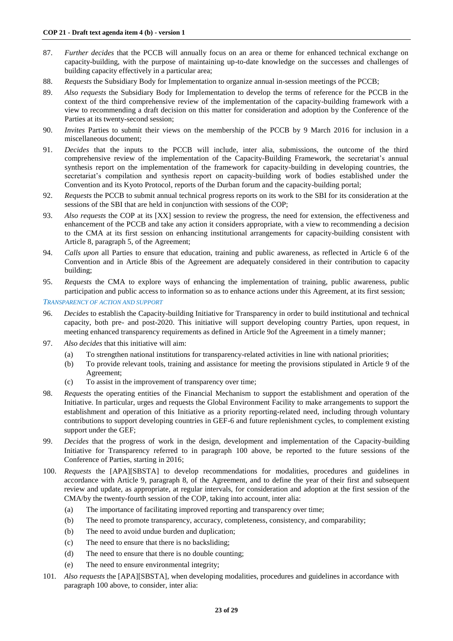- 87. *Further decides* that the PCCB will annually focus on an area or theme for enhanced technical exchange on capacity-building, with the purpose of maintaining up-to-date knowledge on the successes and challenges of building capacity effectively in a particular area;
- 88. *Requests* the Subsidiary Body for Implementation to organize annual in-session meetings of the PCCB;
- 89. *Also requests* the Subsidiary Body for Implementation to develop the terms of reference for the PCCB in the context of the third comprehensive review of the implementation of the capacity-building framework with a view to recommending a draft decision on this matter for consideration and adoption by the Conference of the Parties at its twenty-second session;
- 90. *Invites* Parties to submit their views on the membership of the PCCB by 9 March 2016 for inclusion in a miscellaneous document;
- 91. *Decides* that the inputs to the PCCB will include, inter alia, submissions, the outcome of the third comprehensive review of the implementation of the Capacity-Building Framework, the secretariat's annual synthesis report on the implementation of the framework for capacity-building in developing countries, the secretariat's compilation and synthesis report on capacity-building work of bodies established under the Convention and its Kyoto Protocol, reports of the Durban forum and the capacity-building portal;
- 92. *Requests* the PCCB to submit annual technical progress reports on its work to the SBI for its consideration at the sessions of the SBI that are held in conjunction with sessions of the COP;
- 93. *Also requests* the COP at its [XX] session to review the progress, the need for extension, the effectiveness and enhancement of the PCCB and take any action it considers appropriate, with a view to recommending a decision to the CMA at its first session on enhancing institutional arrangements for capacity-building consistent with Article 8, paragraph 5, of the Agreement;
- 94. *Calls upon* all Parties to ensure that education, training and public awareness, as reflected in Article 6 of the Convention and in Article 8bis of the Agreement are adequately considered in their contribution to capacity building;
- 95. *Requests* the CMA to explore ways of enhancing the implementation of training, public awareness, public participation and public access to information so as to enhance actions under this Agreement, at its first session;

*TRANSPARENCY OF ACTION AND SUPPORT*

- 96. *Decides* to establish the Capacity-building Initiative for Transparency in order to build institutional and technical capacity, both pre- and post-2020. This initiative will support developing country Parties, upon request, in meeting enhanced transparency requirements as defined in Article 9of the Agreement in a timely manner;
- 97. *Also decides* that this initiative will aim:
	- (a) To strengthen national institutions for transparency-related activities in line with national priorities;
	- (b) To provide relevant tools, training and assistance for meeting the provisions stipulated in Article 9 of the Agreement;
	- (c) To assist in the improvement of transparency over time;
- 98. *Requests* the operating entities of the Financial Mechanism to support the establishment and operation of the Initiative. In particular, urges and requests the Global Environment Facility to make arrangements to support the establishment and operation of this Initiative as a priority reporting-related need, including through voluntary contributions to support developing countries in GEF-6 and future replenishment cycles, to complement existing support under the GEF;
- 99. *Decides* that the progress of work in the design, development and implementation of the Capacity-building Initiative for Transparency referred to in paragraph 100 above, be reported to the future sessions of the Conference of Parties, starting in 2016;
- 100. *Requests* the [APA][SBSTA] to develop recommendations for modalities, procedures and guidelines in accordance with Article 9, paragraph 8, of the Agreement, and to define the year of their first and subsequent review and update, as appropriate, at regular intervals, for consideration and adoption at the first session of the CMA/by the twenty-fourth session of the COP, taking into account, inter alia:
	- (a) The importance of facilitating improved reporting and transparency over time;
	- (b) The need to promote transparency, accuracy, completeness, consistency, and comparability;
	- (b) The need to avoid undue burden and duplication;
	- (c) The need to ensure that there is no backsliding;
	- (d) The need to ensure that there is no double counting;
	- (e) The need to ensure environmental integrity;
- 101*. Also requests* the [APA][SBSTA], when developing modalities, procedures and guidelines in accordance with paragraph 100 above, to consider, inter alia: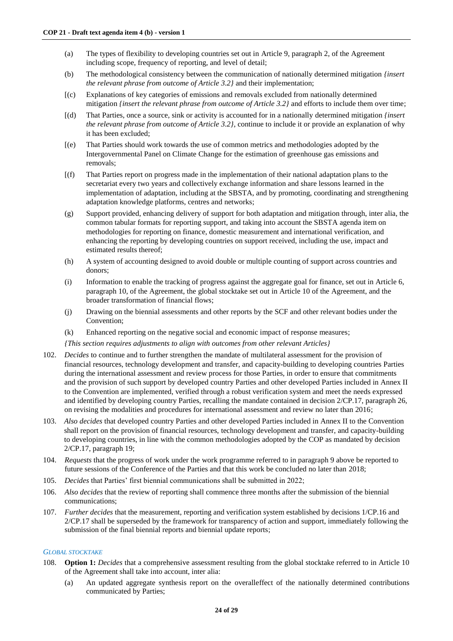- (a) The types of flexibility to developing countries set out in Article 9, paragraph 2, of the Agreement including scope, frequency of reporting, and level of detail;
- (b) The methodological consistency between the communication of nationally determined mitigation *{insert the relevant phrase from outcome of Article 3.2}* and their implementation;
- [(c) Explanations of key categories of emissions and removals excluded from nationally determined mitigation *{insert the relevant phrase from outcome of Article 3.2}* and efforts to include them over time;
- [(d) That Parties, once a source, sink or activity is accounted for in a nationally determined mitigation *{insert the relevant phrase from outcome of Article 3.2}*, continue to include it or provide an explanation of why it has been excluded;
- [(e) That Parties should work towards the use of common metrics and methodologies adopted by the Intergovernmental Panel on Climate Change for the estimation of greenhouse gas emissions and removals;
- [(f) That Parties report on progress made in the implementation of their national adaptation plans to the secretariat every two years and collectively exchange information and share lessons learned in the implementation of adaptation, including at the SBSTA, and by promoting, coordinating and strengthening adaptation knowledge platforms, centres and networks;
- (g) Support provided, enhancing delivery of support for both adaptation and mitigation through, inter alia, the common tabular formats for reporting support, and taking into account the SBSTA agenda item on methodologies for reporting on finance, domestic measurement and international verification, and enhancing the reporting by developing countries on support received, including the use, impact and estimated results thereof;
- (h) A system of accounting designed to avoid double or multiple counting of support across countries and donors;
- (i) Information to enable the tracking of progress against the aggregate goal for finance, set out in Article 6, paragraph 10, of the Agreement, the global stocktake set out in Article 10 of the Agreement, and the broader transformation of financial flows;
- (j) Drawing on the biennial assessments and other reports by the SCF and other relevant bodies under the Convention;
- (k) Enhanced reporting on the negative social and economic impact of response measures;
- *{This section requires adjustments to align with outcomes from other relevant Articles}*
- 102. *Decides* to continue and to further strengthen the mandate of multilateral assessment for the provision of financial resources, technology development and transfer, and capacity-building to developing countries Parties during the international assessment and review process for those Parties, in order to ensure that commitments and the provision of such support by developed country Parties and other developed Parties included in Annex II to the Convention are implemented, verified through a robust verification system and meet the needs expressed and identified by developing country Parties, recalling the mandate contained in decision 2/CP.17, paragraph 26, on revising the modalities and procedures for international assessment and review no later than 2016;
- 103. *Also decides* that developed country Parties and other developed Parties included in Annex II to the Convention shall report on the provision of financial resources, technology development and transfer, and capacity-building to developing countries, in line with the common methodologies adopted by the COP as mandated by decision 2/CP.17, paragraph 19;
- 104. *Requests* that the progress of work under the work programme referred to in paragraph 9 above be reported to future sessions of the Conference of the Parties and that this work be concluded no later than 2018;
- 105. *Decides* that Parties' first biennial communications shall be submitted in 2022;
- 106. *Also decides* that the review of reporting shall commence three months after the submission of the biennial communications;
- 107. *Further decides* that the measurement, reporting and verification system established by decisions 1/CP.16 and 2/CP.17 shall be superseded by the framework for transparency of action and support, immediately following the submission of the final biennial reports and biennial update reports;

#### *GLOBAL STOCKTAKE*

- 108. **Option 1:** *Decides* that a comprehensive assessment resulting from the global stocktake referred to in Article 10 of the Agreement shall take into account, inter alia:
	- (a) An updated aggregate synthesis report on the overalleffect of the nationally determined contributions communicated by Parties;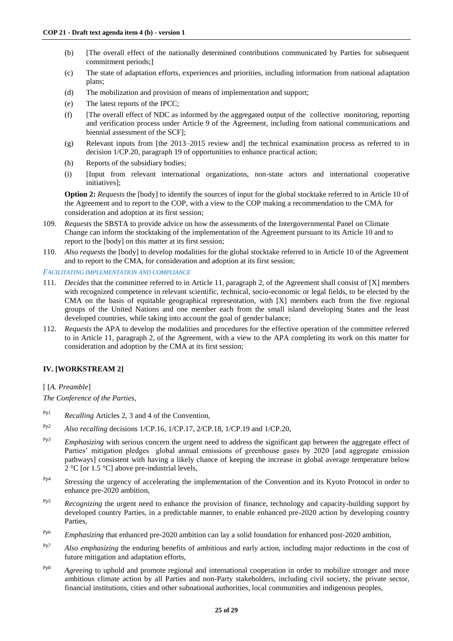- (b) [The overall effect of the nationally determined contributions communicated by Parties for subsequent commitment periods;]
- (c) The state of adaptation efforts, experiences and priorities, including information from national adaptation plans;
- (d) The mobilization and provision of means of implementation and support;
- (e) The latest reports of the IPCC;
- (f) [The overall effect of NDC as informed by the aggregated output of the collective monitoring, reporting and verification process under Article 9 of the Agreement, including from national communications and biennial assessment of the SCF];
- (g) Relevant inputs from [the 2013–2015 review and] the technical examination process as referred to in decision 1/CP.20, paragraph 19 of opportunities to enhance practical action;
- (h) Reports of the subsidiary bodies;
- (i) [Input from relevant international organizations, non-state actors and international cooperative initiatives];

**Option 2:** *Requests* the [body] to identify the sources of input for the global stocktake referred to in Article 10 of the Agreement and to report to the COP, with a view to the COP making a recommendation to the CMA for consideration and adoption at its first session;

- 109. *Requests* the SBSTA to provide advice on how the assessments of the Intergovernmental Panel on Climate Change can inform the stocktaking of the implementation of the Agreement pursuant to its Article 10 and to report to the [body] on this matter at its first session;
- 110. *Also requests* the [body] to develop modalities for the global stocktake referred to in Article 10 of the Agreement and to report to the CMA, for consideration and adoption at its first session;

#### *FACILITATING IMPLEMENTATION AND COMPLIANCE*

- 111. *Decides* that the committee referred to in Article 11, paragraph 2, of the Agreement shall consist of [X] members with recognized competence in relevant scientific, technical, socio-economic or legal fields, to be elected by the CMA on the basis of equitable geographical representation, with [X] members each from the five regional groups of the United Nations and one member each from the small island developing States and the least developed countries, while taking into account the goal of gender balance;
- 112. *Requests* the APA to develop the modalities and procedures for the effective operation of the committee referred to in Article 11, paragraph 2, of the Agreement, with a view to the APA completing its work on this matter for consideration and adoption by the CMA at its first session;

# **IV. [WORKSTREAM 2]**

# [ [*A. Preamble*]

*The Conference of the Parties*,

- Pp1 *Recalling* Articles 2, 3 and 4 of the Convention,
- Pp2 *Also recalling* decisions 1/CP.16, 1/CP.17, 2/CP.18, 1/CP.19 and 1/CP.20,
- Pp3 *Emphasizing* with serious concern the urgent need to address the significant gap between the aggregate effect of Parties' mitigation pledges global annual emissions of greenhouse gases by 2020 [and aggregate emission pathways] consistent with having a likely chance of keeping the increase in global average temperature below  $2^{\circ}$ C [or 1.5 °C] above pre-industrial levels,
- Pp4 *Stressing* the urgency of accelerating the implementation of the Convention and its Kyoto Protocol in order to enhance pre-2020 ambition,
- <sup>Pp5</sup> *Recognizing* the urgent need to enhance the provision of finance, technology and capacity-building support by developed country Parties, in a predictable manner, to enable enhanced pre-2020 action by developing country Parties,
- <sup>Pp6</sup> *Emphasizing* that enhanced pre-2020 ambition can lay a solid foundation for enhanced post-2020 ambition,
- Pp7 *Also emphasizing* the enduring benefits of ambitious and early action, including major reductions in the cost of future mitigation and adaptation efforts,
- <sup>Pp8</sup> *Agreeing* to uphold and promote regional and international cooperation in order to mobilize stronger and more ambitious climate action by all Parties and non-Party stakeholders, including civil society, the private sector, financial institutions, cities and other subnational authorities, local communities and indigenous peoples,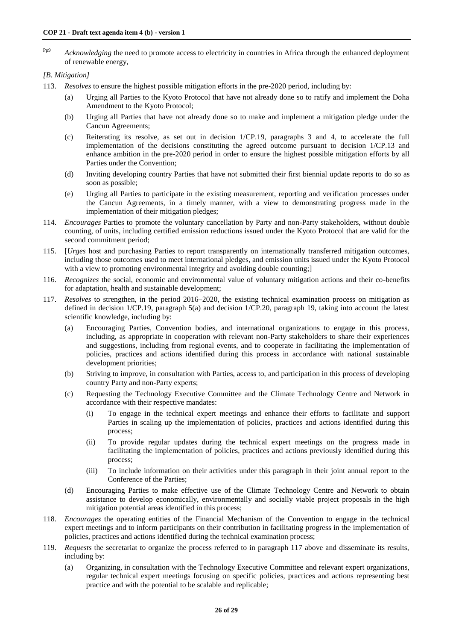<sup>Pp9</sup> *Acknowledging* the need to promote access to electricity in countries in Africa through the enhanced deployment of renewable energy,

## *[B. Mitigation]*

- 113. *Resolves* to ensure the highest possible mitigation efforts in the pre-2020 period, including by:
	- (a) Urging all Parties to the Kyoto Protocol that have not already done so to ratify and implement the Doha Amendment to the Kyoto Protocol;
	- (b) Urging all Parties that have not already done so to make and implement a mitigation pledge under the Cancun Agreements;
	- (c) Reiterating its resolve, as set out in decision 1/CP.19, paragraphs 3 and 4, to accelerate the full implementation of the decisions constituting the agreed outcome pursuant to decision 1/CP.13 and enhance ambition in the pre-2020 period in order to ensure the highest possible mitigation efforts by all Parties under the Convention;
	- (d) Inviting developing country Parties that have not submitted their first biennial update reports to do so as soon as possible;
	- (e) Urging all Parties to participate in the existing measurement, reporting and verification processes under the Cancun Agreements, in a timely manner, with a view to demonstrating progress made in the implementation of their mitigation pledges;
- 114. *Encourages* Parties to promote the voluntary cancellation by Party and non-Party stakeholders, without double counting, of units, including certified emission reductions issued under the Kyoto Protocol that are valid for the second commitment period;
- 115. [*Urges* host and purchasing Parties to report transparently on internationally transferred mitigation outcomes, including those outcomes used to meet international pledges, and emission units issued under the Kyoto Protocol with a view to promoting environmental integrity and avoiding double counting;
- 116. *Recognizes* the social, economic and environmental value of voluntary mitigation actions and their co-benefits for adaptation, health and sustainable development;
- 117. *Resolves* to strengthen, in the period 2016–2020, the existing technical examination process on mitigation as defined in decision 1/CP.19, paragraph 5(a) and decision 1/CP.20, paragraph 19, taking into account the latest scientific knowledge, including by:
	- (a) Encouraging Parties, Convention bodies, and international organizations to engage in this process, including, as appropriate in cooperation with relevant non-Party stakeholders to share their experiences and suggestions, including from regional events, and to cooperate in facilitating the implementation of policies, practices and actions identified during this process in accordance with national sustainable development priorities;
	- (b) Striving to improve, in consultation with Parties, access to, and participation in this process of developing country Party and non-Party experts;
	- (c) Requesting the Technology Executive Committee and the Climate Technology Centre and Network in accordance with their respective mandates:
		- (i) To engage in the technical expert meetings and enhance their efforts to facilitate and support Parties in scaling up the implementation of policies, practices and actions identified during this process;
		- (ii) To provide regular updates during the technical expert meetings on the progress made in facilitating the implementation of policies, practices and actions previously identified during this process;
		- (iii) To include information on their activities under this paragraph in their joint annual report to the Conference of the Parties;
	- (d) Encouraging Parties to make effective use of the Climate Technology Centre and Network to obtain assistance to develop economically, environmentally and socially viable project proposals in the high mitigation potential areas identified in this process;
- 118. *Encourages* the operating entities of the Financial Mechanism of the Convention to engage in the technical expert meetings and to inform participants on their contribution in facilitating progress in the implementation of policies, practices and actions identified during the technical examination process;
- 119. *Requests* the secretariat to organize the process referred to in paragraph 117 above and disseminate its results, including by:
	- (a) Organizing, in consultation with the Technology Executive Committee and relevant expert organizations, regular technical expert meetings focusing on specific policies, practices and actions representing best practice and with the potential to be scalable and replicable;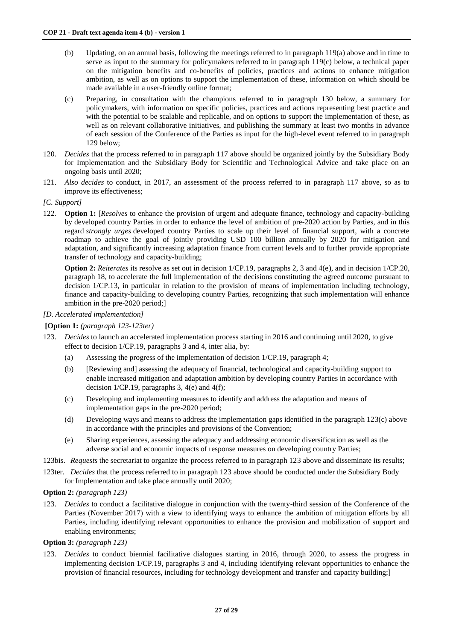- (b) Updating, on an annual basis, following the meetings referred to in paragraph 119(a) above and in time to serve as input to the summary for policymakers referred to in paragraph 119(c) below, a technical paper on the mitigation benefits and co-benefits of policies, practices and actions to enhance mitigation ambition, as well as on options to support the implementation of these, information on which should be made available in a user-friendly online format;
- (c) Preparing, in consultation with the champions referred to in paragraph 130 below, a summary for policymakers, with information on specific policies, practices and actions representing best practice and with the potential to be scalable and replicable, and on options to support the implementation of these, as well as on relevant collaborative initiatives, and publishing the summary at least two months in advance of each session of the Conference of the Parties as input for the high-level event referred to in paragraph 129 below;
- 120. *Decides* that the process referred to in paragraph 117 above should be organized jointly by the Subsidiary Body for Implementation and the Subsidiary Body for Scientific and Technological Advice and take place on an ongoing basis until 2020;
- 121. *Also decides* to conduct, in 2017, an assessment of the process referred to in paragraph 117 above, so as to improve its effectiveness;

# *[C. Support]*

122*.* **Option 1:** [*Resolves* to enhance the provision of urgent and adequate finance, technology and capacity-building by developed country Parties in order to enhance the level of ambition of pre-2020 action by Parties, and in this regard *strongly urges* developed country Parties to scale up their level of financial support, with a concrete roadmap to achieve the goal of jointly providing USD 100 billion annually by 2020 for mitigation and adaptation, and significantly increasing adaptation finance from current levels and to further provide appropriate transfer of technology and capacity-building;

**Option 2:** *Reiterates* its resolve as set out in decision 1/CP.19, paragraphs 2, 3 and 4(e), and in decision 1/CP.20, paragraph 18, to accelerate the full implementation of the decisions constituting the agreed outcome pursuant to decision 1/CP.13, in particular in relation to the provision of means of implementation including technology, finance and capacity-building to developing country Parties, recognizing that such implementation will enhance ambition in the pre-2020 period;]

## *[D. Accelerated implementation]*

**[Option 1:** *(paragraph 123-123ter)*

- 123. *Decides* to launch an accelerated implementation process starting in 2016 and continuing until 2020, to give effect to decision 1/CP.19, paragraphs 3 and 4, inter alia*,* by:
	- (a) Assessing the progress of the implementation of decision 1/CP.19, paragraph 4;
	- (b) [Reviewing and] assessing the adequacy of financial, technological and capacity-building support to enable increased mitigation and adaptation ambition by developing country Parties in accordance with decision  $1/CP.19$ , paragraphs 3,  $4(e)$  and  $4(f)$ ;
	- (c) Developing and implementing measures to identify and address the adaptation and means of implementation gaps in the pre-2020 period;
	- (d) Developing ways and means to address the implementation gaps identified in the paragraph 123(c) above in accordance with the principles and provisions of the Convention;
	- (e) Sharing experiences, assessing the adequacy and addressing economic diversification as well as the adverse social and economic impacts of response measures on developing country Parties;
- 123bis. *Requests* the secretariat to organize the process referred to in paragraph 123 above and disseminate its results;
- 123ter. *Decides* that the process referred to in paragraph 123 above should be conducted under the Subsidiary Body for Implementation and take place annually until 2020;
- **Option 2:** *(paragraph 123)*
- 123. *Decides* to conduct a facilitative dialogue in conjunction with the twenty-third session of the Conference of the Parties (November 2017) with a view to identifying ways to enhance the ambition of mitigation efforts by all Parties, including identifying relevant opportunities to enhance the provision and mobilization of support and enabling environments;

#### **Option 3:** *(paragraph 123)*

123. *Decides* to conduct biennial facilitative dialogues starting in 2016, through 2020, to assess the progress in implementing decision 1/CP.19, paragraphs 3 and 4, including identifying relevant opportunities to enhance the provision of financial resources, including for technology development and transfer and capacity building;]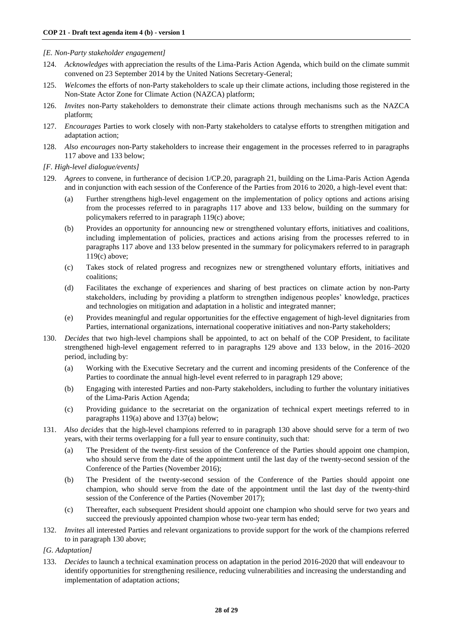## *[E. Non-Party stakeholder engagement]*

- 124. *Acknowledges* with appreciation the results of the Lima-Paris Action Agenda, which build on the climate summit convened on 23 September 2014 by the United Nations Secretary-General;
- 125. *Welcomes* the efforts of non-Party stakeholders to scale up their climate actions, including those registered in the Non-State Actor Zone for Climate Action (NAZCA) platform;
- 126. *Invites* non-Party stakeholders to demonstrate their climate actions through mechanisms such as the NAZCA platform;
- 127. *Encourages* Parties to work closely with non-Party stakeholders to catalyse efforts to strengthen mitigation and adaptation action;
- 128. *Also encourages* non-Party stakeholders to increase their engagement in the processes referred to in paragraphs 117 above and 133 below;

*[F. High-level dialogue/events]*

- 129. *Agrees* to convene, in furtherance of decision 1/CP.20, paragraph 21, building on the Lima-Paris Action Agenda and in conjunction with each session of the Conference of the Parties from 2016 to 2020, a high-level event that:
	- (a) Further strengthens high-level engagement on the implementation of policy options and actions arising from the processes referred to in paragraphs 117 above and 133 below, building on the summary for policymakers referred to in paragraph 119(c) above;
	- (b) Provides an opportunity for announcing new or strengthened voluntary efforts, initiatives and coalitions, including implementation of policies, practices and actions arising from the processes referred to in paragraphs 117 above and 133 below presented in the summary for policymakers referred to in paragraph 119(c) above;
	- (c) Takes stock of related progress and recognizes new or strengthened voluntary efforts, initiatives and coalitions;
	- (d) Facilitates the exchange of experiences and sharing of best practices on climate action by non-Party stakeholders, including by providing a platform to strengthen indigenous peoples' knowledge, practices and technologies on mitigation and adaptation in a holistic and integrated manner;
	- (e) Provides meaningful and regular opportunities for the effective engagement of high-level dignitaries from Parties, international organizations, international cooperative initiatives and non-Party stakeholders;
- 130. *Decides* that two high-level champions shall be appointed, to act on behalf of the COP President, to facilitate strengthened high-level engagement referred to in paragraphs 129 above and 133 below, in the 2016–2020 period, including by:
	- (a) Working with the Executive Secretary and the current and incoming presidents of the Conference of the Parties to coordinate the annual high-level event referred to in paragraph 129 above;
	- (b) Engaging with interested Parties and non-Party stakeholders, including to further the voluntary initiatives of the Lima-Paris Action Agenda;
	- (c) Providing guidance to the secretariat on the organization of technical expert meetings referred to in paragraphs 119(a) above and 137(a) below;
- 131. *Also decides* that the high-level champions referred to in paragraph 130 above should serve for a term of two years, with their terms overlapping for a full year to ensure continuity, such that:
	- (a) The President of the twenty-first session of the Conference of the Parties should appoint one champion, who should serve from the date of the appointment until the last day of the twenty-second session of the Conference of the Parties (November 2016);
	- (b) The President of the twenty-second session of the Conference of the Parties should appoint one champion, who should serve from the date of the appointment until the last day of the twenty-third session of the Conference of the Parties (November 2017);
	- (c) Thereafter, each subsequent President should appoint one champion who should serve for two years and succeed the previously appointed champion whose two-year term has ended;
- 132. *Invites* all interested Parties and relevant organizations to provide support for the work of the champions referred to in paragraph 130 above;

*[G. Adaptation]*

133. *Decides* to launch a technical examination process on adaptation in the period 2016-2020 that will endeavour to identify opportunities for strengthening resilience, reducing vulnerabilities and increasing the understanding and implementation of adaptation actions;